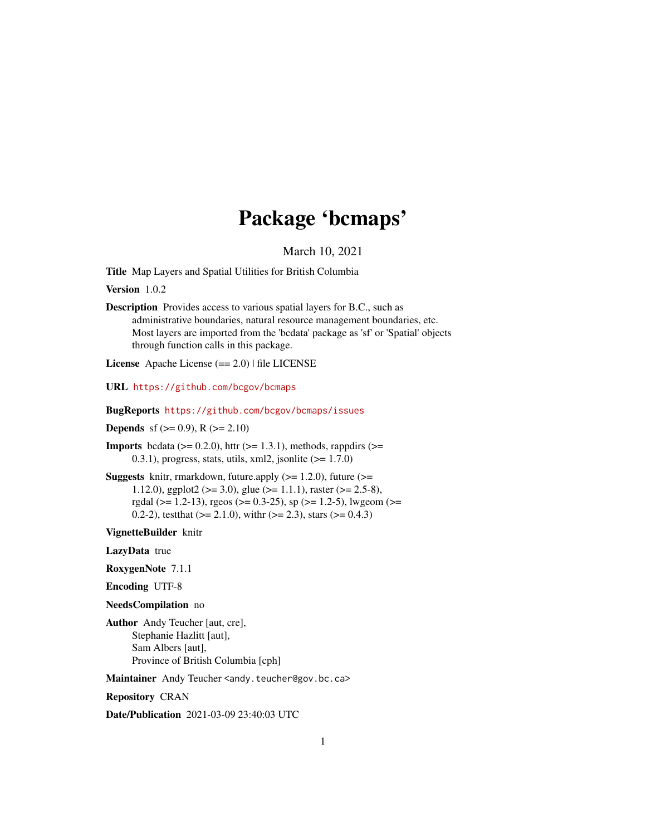# Package 'bcmaps'

March 10, 2021

<span id="page-0-0"></span>Title Map Layers and Spatial Utilities for British Columbia

Version 1.0.2

Description Provides access to various spatial layers for B.C., such as administrative boundaries, natural resource management boundaries, etc. Most layers are imported from the 'bcdata' package as 'sf' or 'Spatial' objects through function calls in this package.

License Apache License (== 2.0) | file LICENSE

URL <https://github.com/bcgov/bcmaps>

BugReports <https://github.com/bcgov/bcmaps/issues>

**Depends** sf ( $>= 0.9$ ), R ( $>= 2.10$ )

**Imports** bcdata ( $> = 0.2.0$ ), httr ( $> = 1.3.1$ ), methods, rappdirs ( $> =$ 0.3.1), progress, stats, utils, xml2, jsonlite  $(>= 1.7.0)$ 

**Suggests** knitr, rmarkdown, future.apply  $(>= 1.2.0)$ , future  $(>= 1.2.0)$ 1.12.0), ggplot2 ( $> = 3.0$ ), glue ( $> = 1.1.1$ ), raster ( $> = 2.5-8$ ), rgdal ( $>= 1.2-13$ ), rgeos ( $>= 0.3-25$ ), sp ( $>= 1.2-5$ ), lwgeom ( $>=$ 0.2-2), test that  $(>= 2.1.0)$ , with  $(>= 2.3)$ , stars  $(>= 0.4.3)$ 

VignetteBuilder knitr

LazyData true

RoxygenNote 7.1.1

Encoding UTF-8

NeedsCompilation no

Author Andy Teucher [aut, cre], Stephanie Hazlitt [aut], Sam Albers [aut], Province of British Columbia [cph]

Maintainer Andy Teucher <andy.teucher@gov.bc.ca>

Repository CRAN

Date/Publication 2021-03-09 23:40:03 UTC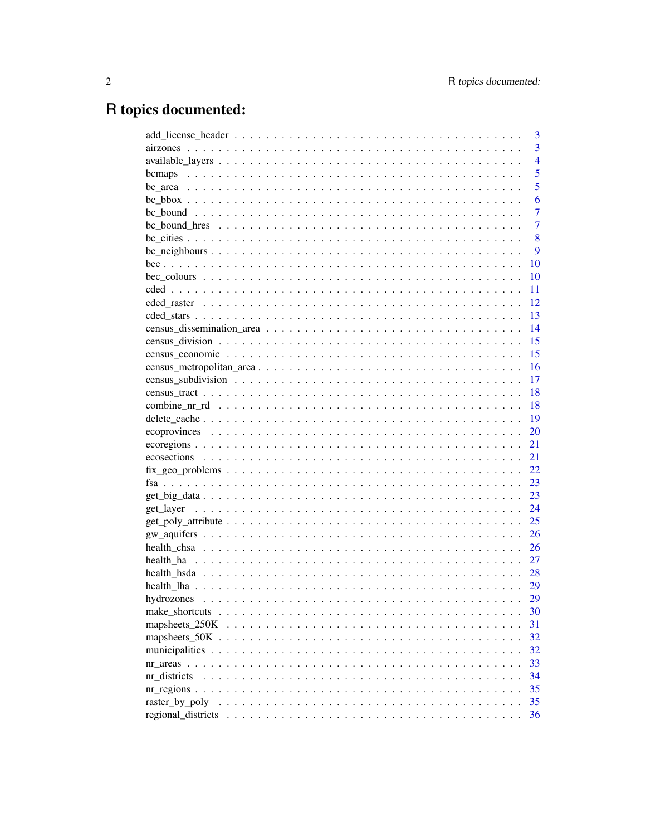# R topics documented:

|                                                                                                          | 3              |
|----------------------------------------------------------------------------------------------------------|----------------|
|                                                                                                          | $\overline{3}$ |
|                                                                                                          | $\overline{4}$ |
|                                                                                                          | 5              |
|                                                                                                          | 5              |
|                                                                                                          | 6              |
|                                                                                                          | $\overline{7}$ |
|                                                                                                          | $\overline{7}$ |
|                                                                                                          | 8              |
|                                                                                                          | 9              |
|                                                                                                          | 10             |
|                                                                                                          | 10             |
|                                                                                                          | 11             |
|                                                                                                          | 12             |
|                                                                                                          | 13             |
|                                                                                                          | 14             |
|                                                                                                          | 15             |
|                                                                                                          | 15             |
|                                                                                                          | 16             |
|                                                                                                          | 17             |
|                                                                                                          | 18             |
|                                                                                                          | 18             |
|                                                                                                          | 19             |
|                                                                                                          | 20             |
|                                                                                                          | 21             |
|                                                                                                          | 21             |
| $fix\_geo\_problems \ldots \ldots \ldots \ldots \ldots \ldots \ldots \ldots \ldots \ldots \ldots \ldots$ | 22             |
|                                                                                                          | 23             |
|                                                                                                          | 23             |
|                                                                                                          | 24             |
|                                                                                                          | 25             |
|                                                                                                          | 26             |
|                                                                                                          | 26             |
|                                                                                                          | 27             |
|                                                                                                          | 28             |
|                                                                                                          | 29             |
|                                                                                                          | 29             |
|                                                                                                          | 30             |
|                                                                                                          | 31             |
|                                                                                                          | 32             |
|                                                                                                          |                |
|                                                                                                          | 32<br>33       |
|                                                                                                          |                |
| nr districts                                                                                             | 34             |
|                                                                                                          | 35             |
|                                                                                                          | 35             |
| regional_districts                                                                                       | 36             |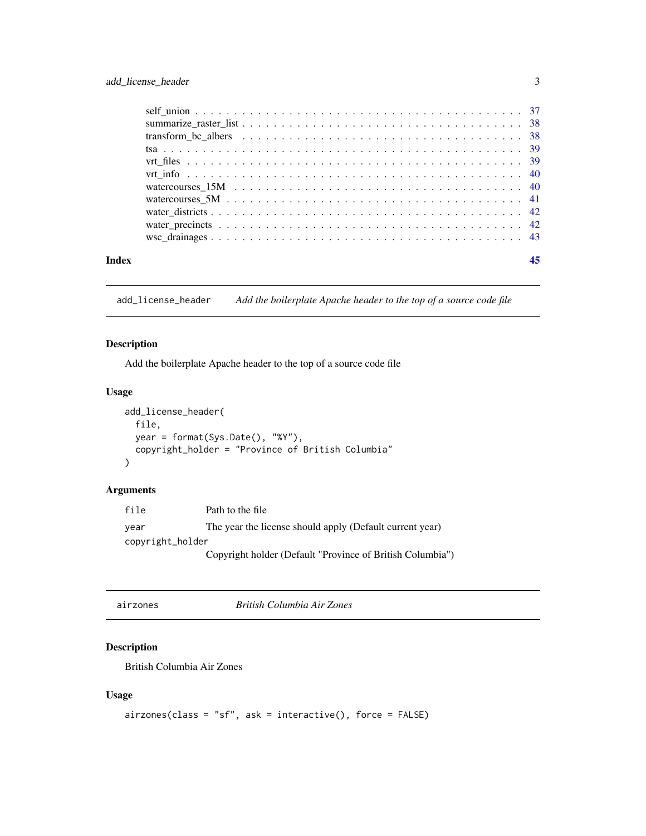<span id="page-2-0"></span>

| Index |  |
|-------|--|

add\_license\_header *Add the boilerplate Apache header to the top of a source code file*

### Description

Add the boilerplate Apache header to the top of a source code file

### Usage

```
add_license_header(
  file,
 year = format(Sys.Date(), "%Y"),
 copyright_holder = "Province of British Columbia"
\mathcal{L}
```
### Arguments

| file             | Path to the file                                          |
|------------------|-----------------------------------------------------------|
| vear             | The year the license should apply (Default current year)  |
| copyright_holder |                                                           |
|                  | Copyright holder (Default "Province of British Columbia") |

| airzones |
|----------|
|          |
|          |

airzones *British Columbia Air Zones*

### Description

British Columbia Air Zones

```
airzones(class = "sf", ask = interactive(), force = FALSE)
```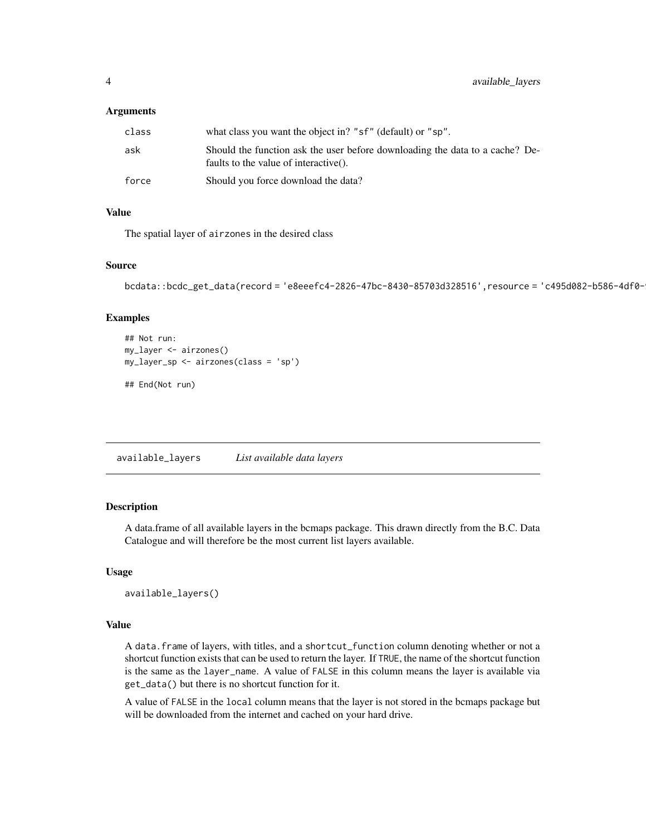#### <span id="page-3-0"></span>**Arguments**

| class | what class you want the object in? "sf" (default) or "sp".                                                            |
|-------|-----------------------------------------------------------------------------------------------------------------------|
| ask   | Should the function ask the user before downloading the data to a cache? De-<br>faults to the value of interactive(). |
| force | Should you force download the data?                                                                                   |

### Value

The spatial layer of airzones in the desired class

### Source

```
bcdata::bcdc_get_data(record = 'e8eeefc4-2826-47bc-8430-85703d328516',resource = 'c495d082-b586-4df0-
```
#### Examples

```
## Not run:
my_layer <- airzones()
my_layer_sp <- airzones(class = 'sp')
```
## End(Not run)

available\_layers *List available data layers*

#### Description

A data.frame of all available layers in the bcmaps package. This drawn directly from the B.C. Data Catalogue and will therefore be the most current list layers available.

#### Usage

```
available_layers()
```
#### Value

A data.frame of layers, with titles, and a shortcut\_function column denoting whether or not a shortcut function exists that can be used to return the layer. If TRUE, the name of the shortcut function is the same as the layer\_name. A value of FALSE in this column means the layer is available via get\_data() but there is no shortcut function for it.

A value of FALSE in the local column means that the layer is not stored in the bcmaps package but will be downloaded from the internet and cached on your hard drive.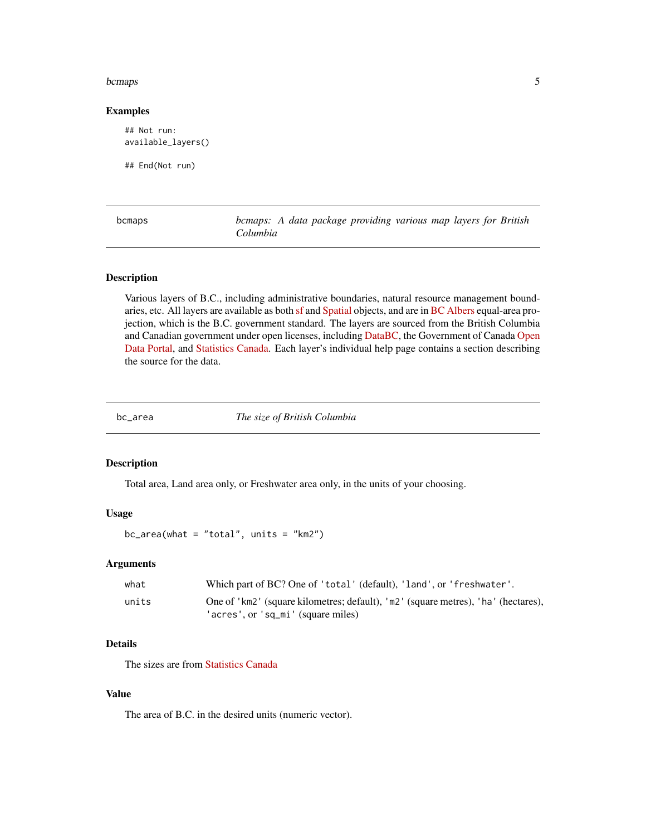#### <span id="page-4-0"></span>bcmaps 5 and 5 and 5 and 5 and 5 and 5 and 5 and 5 and 5 and 5 and 5 and 5 and 5 and 5 and 5 and 5 and 5 and 5 and 5 and 5 and 5 and 5 and 5 and 5 and 5 and 5 and 5 and 5 and 5 and 5 and 5 and 5 and 5 and 5 and 5 and 5 and

#### Examples

```
## Not run:
available_layers()
```
## End(Not run)

| bcmaps |
|--------|
|--------|

bcmaps: A data package providing various map layers for British *Columbia*

### Description

Various layers of B.C., including administrative boundaries, natural resource management boundaries, etc. All layers are available as both [sf](https://CRAN.R-project.org/package=sf) and [Spatial](https://CRAN.R-project.org/package=sp) objects, and are in [BC Albers](https://spatialreference.org/ref/epsg/nad83-bc-albers/) equal-area projection, which is the B.C. government standard. The layers are sourced from the British Columbia and Canadian government under open licenses, including [DataBC,](https://data.gov.bc.ca) the Government of Canada [Open](https://open.canada.ca/en/open-data) [Data Portal,](https://open.canada.ca/en/open-data) and [Statistics Canada.](https://www.statcan.gc.ca/eng/reference/licence) Each layer's individual help page contains a section describing the source for the data.

bc\_area *The size of British Columbia*

#### Description

Total area, Land area only, or Freshwater area only, in the units of your choosing.

#### Usage

 $bc_area(what = "total", units = "km2")$ 

#### Arguments

| what  | Which part of BC? One of 'total' (default), 'land', or 'freshwater'.              |
|-------|-----------------------------------------------------------------------------------|
| units | One of 'km2' (square kilometres; default), 'm2' (square metres), 'ha' (hectares), |
|       | 'acres', or 'sq_mi' (square miles)                                                |

### Details

The sizes are from [Statistics Canada](https://www150.statcan.gc.ca/cgi-bin/tableviewer.pl?page=l01/cst01/phys01-eng.htm)

#### Value

The area of B.C. in the desired units (numeric vector).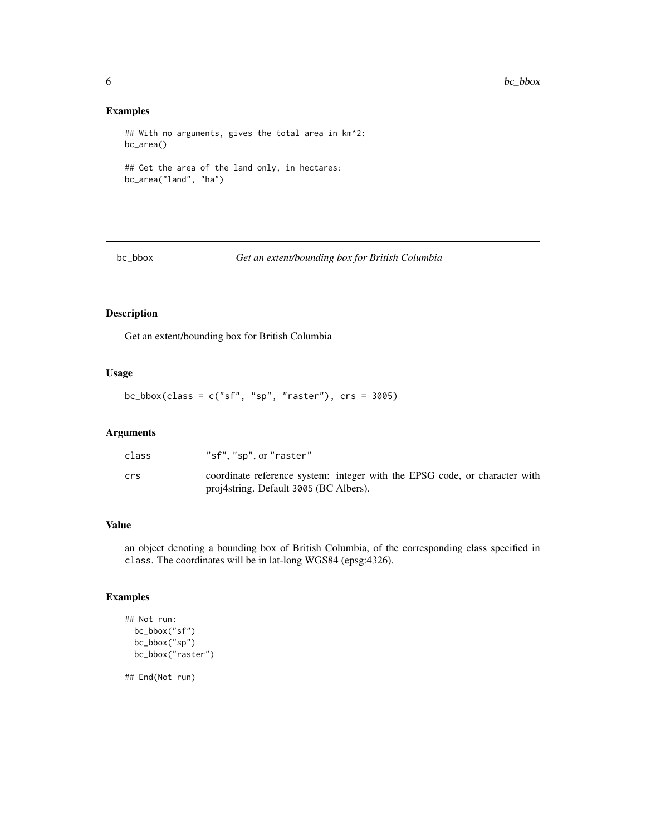#### Examples

```
## With no arguments, gives the total area in km^2:
bc_area()
## Get the area of the land only, in hectares:
bc_area("land", "ha")
```
bc\_bbox *Get an extent/bounding box for British Columbia*

### Description

Get an extent/bounding box for British Columbia

#### Usage

 $bc_bbox(class = c("sf", "sp", "raster"), crs = 3005)$ 

### Arguments

| class | "sf", "sp", or "raster"                                                                                              |
|-------|----------------------------------------------------------------------------------------------------------------------|
| crs   | coordinate reference system: integer with the EPSG code, or character with<br>proj4string. Default 3005 (BC Albers). |

#### Value

an object denoting a bounding box of British Columbia, of the corresponding class specified in class. The coordinates will be in lat-long WGS84 (epsg:4326).

### Examples

```
## Not run:
 bc_bbox("sf")
 bc_bbox("sp")
 bc_bbox("raster")
```
## End(Not run)

<span id="page-5-0"></span>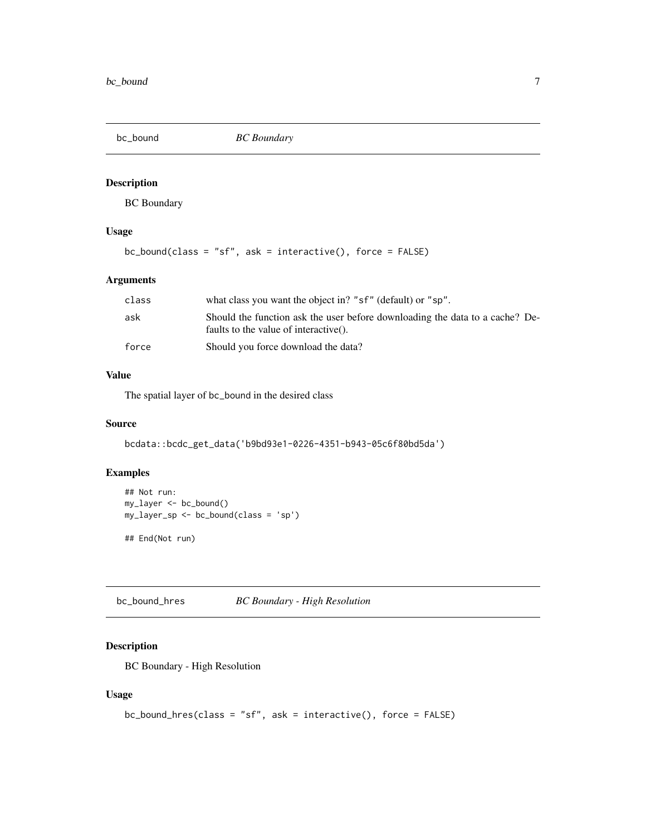<span id="page-6-0"></span>bc\_bound *BC Boundary*

### Description

BC Boundary

### Usage

```
bc_bound(class = "sf", ask = interactive(), force = FALSE)
```
### Arguments

| class | what class you want the object in? "sf" (default) or "sp".                                                            |
|-------|-----------------------------------------------------------------------------------------------------------------------|
| ask   | Should the function ask the user before downloading the data to a cache? De-<br>faults to the value of interactive(). |
| force | Should you force download the data?                                                                                   |

#### Value

The spatial layer of bc\_bound in the desired class

### Source

bcdata::bcdc\_get\_data('b9bd93e1-0226-4351-b943-05c6f80bd5da')

### Examples

```
## Not run:
my_layer <- bc_bound()
my_layer_sp <- bc_bound(class = 'sp')
## End(Not run)
```
bc\_bound\_hres *BC Boundary - High Resolution*

### Description

BC Boundary - High Resolution

```
bc_bound_hres(class = "sf", ask = interactive(), force = FALSE)
```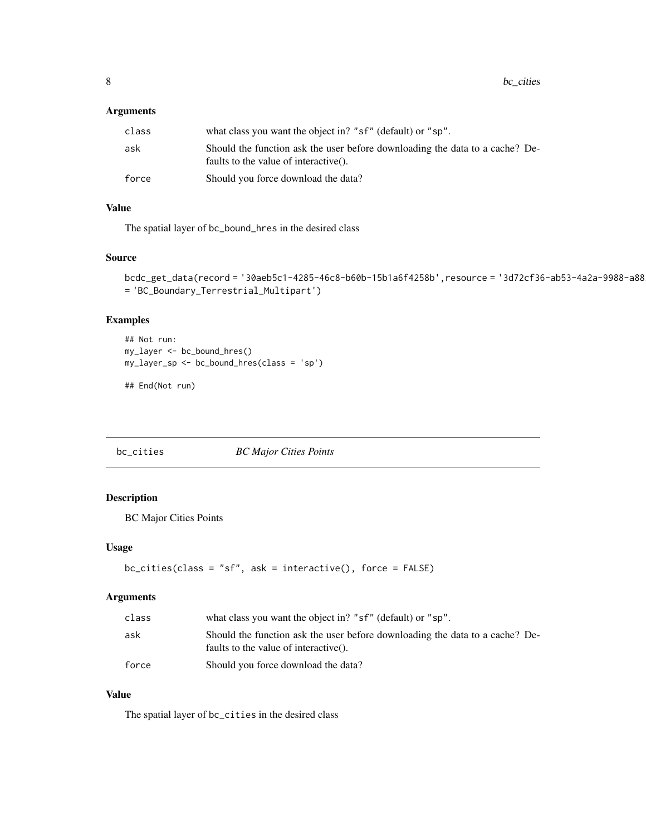### <span id="page-7-0"></span>Arguments

| class | what class you want the object in? "sf" (default) or "sp".                                                            |
|-------|-----------------------------------------------------------------------------------------------------------------------|
| ask   | Should the function ask the user before downloading the data to a cache? De-<br>faults to the value of interactive(). |
| force | Should you force download the data?                                                                                   |

### Value

The spatial layer of bc\_bound\_hres in the desired class

### Source

bcdc\_get\_data(record = '30aeb5c1-4285-46c8-b60b-15b1a6f4258b',resource = '3d72cf36-ab53-4a2a-9988-a88 = 'BC\_Boundary\_Terrestrial\_Multipart')

### Examples

```
## Not run:
my_layer <- bc_bound_hres()
my_layer_sp <- bc_bound_hres(class = 'sp')
```
## End(Not run)

bc\_cities *BC Major Cities Points*

### Description

BC Major Cities Points

### Usage

```
bc_cities(class = "sf", ask = interactive(), force = FALSE)
```
### Arguments

| class | what class you want the object in? "sf" (default) or "sp".                                                            |
|-------|-----------------------------------------------------------------------------------------------------------------------|
| ask   | Should the function ask the user before downloading the data to a cache? De-<br>faults to the value of interactive(). |
| force | Should you force download the data?                                                                                   |

### Value

The spatial layer of bc\_cities in the desired class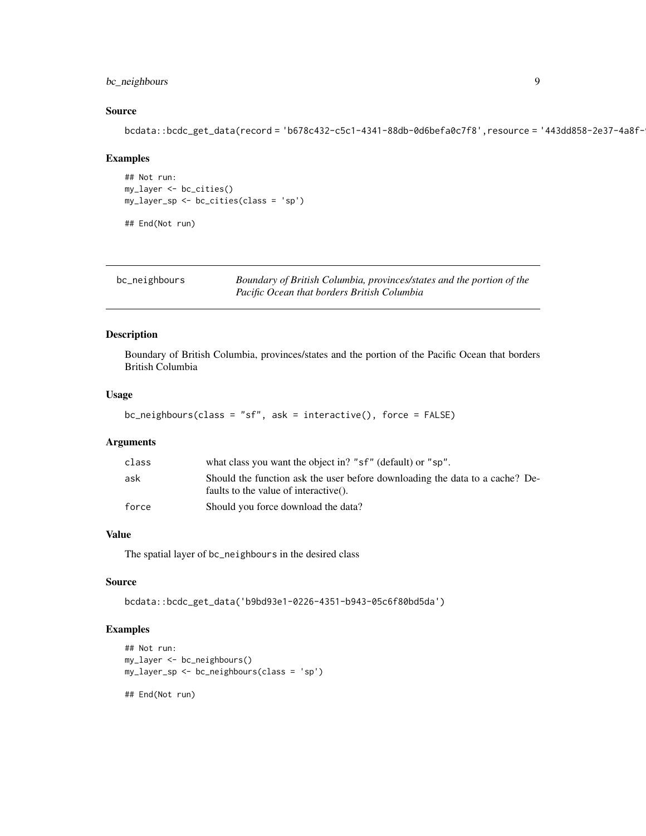### <span id="page-8-0"></span>bc\_neighbours 9

### Source

bcdata::bcdc\_get\_data(record = 'b678c432-c5c1-4341-88db-0d6befa0c7f8',resource = '443dd858-2e37-4a8f-

#### Examples

```
## Not run:
my_layer <- bc_cities()
my_layer_sp <- bc_cities(class = 'sp')
```
## End(Not run)

| bc_neighbours | Boundary of British Columbia, provinces/states and the portion of the |
|---------------|-----------------------------------------------------------------------|
|               | Pacific Ocean that borders British Columbia                           |

#### Description

Boundary of British Columbia, provinces/states and the portion of the Pacific Ocean that borders British Columbia

#### Usage

```
bc_neighbours(class = "sf", ask = interactive(), force = FALSE)
```
### Arguments

| class | what class you want the object in? "sf" (default) or "sp".                                                            |
|-------|-----------------------------------------------------------------------------------------------------------------------|
| ask   | Should the function ask the user before downloading the data to a cache? De-<br>faults to the value of interactive(). |
| force | Should you force download the data?                                                                                   |

### Value

The spatial layer of bc\_neighbours in the desired class

### Source

bcdata::bcdc\_get\_data('b9bd93e1-0226-4351-b943-05c6f80bd5da')

#### Examples

```
## Not run:
my_layer <- bc_neighbours()
my_layer_sp <- bc_neighbours(class = 'sp')
## End(Not run)
```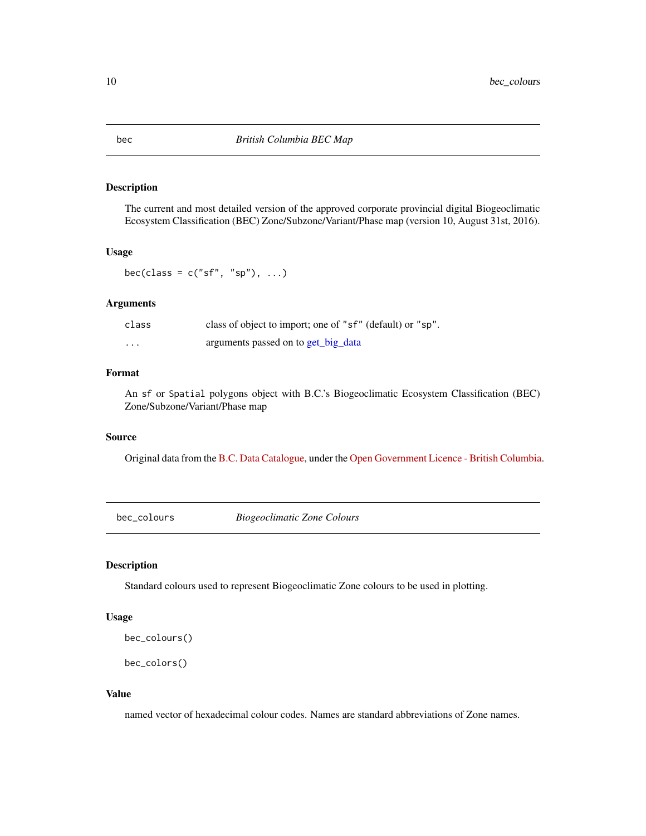The current and most detailed version of the approved corporate provincial digital Biogeoclimatic Ecosystem Classification (BEC) Zone/Subzone/Variant/Phase map (version 10, August 31st, 2016).

#### Usage

bec(class =  $c("sf", "sp"), ...$ )

### Arguments

| class | class of object to import; one of "sf" (default) or "sp". |
|-------|-----------------------------------------------------------|
| .     | arguments passed on to get_big_data                       |

### Format

An sf or Spatial polygons object with B.C.'s Biogeoclimatic Ecosystem Classification (BEC) Zone/Subzone/Variant/Phase map

#### Source

Original data from the [B.C. Data Catalogue,](https://catalogue.data.gov.bc.ca/dataset/f358a53b-ffde-4830-a325-a5a03ff672c3) under the [Open Government Licence - British Columbia.](https://www2.gov.bc.ca/gov/content?id=A519A56BC2BF44E4A008B33FCF527F61)

bec\_colours *Biogeoclimatic Zone Colours*

### Description

Standard colours used to represent Biogeoclimatic Zone colours to be used in plotting.

#### Usage

```
bec_colours()
```

```
bec_colors()
```
#### Value

named vector of hexadecimal colour codes. Names are standard abbreviations of Zone names.

<span id="page-9-0"></span>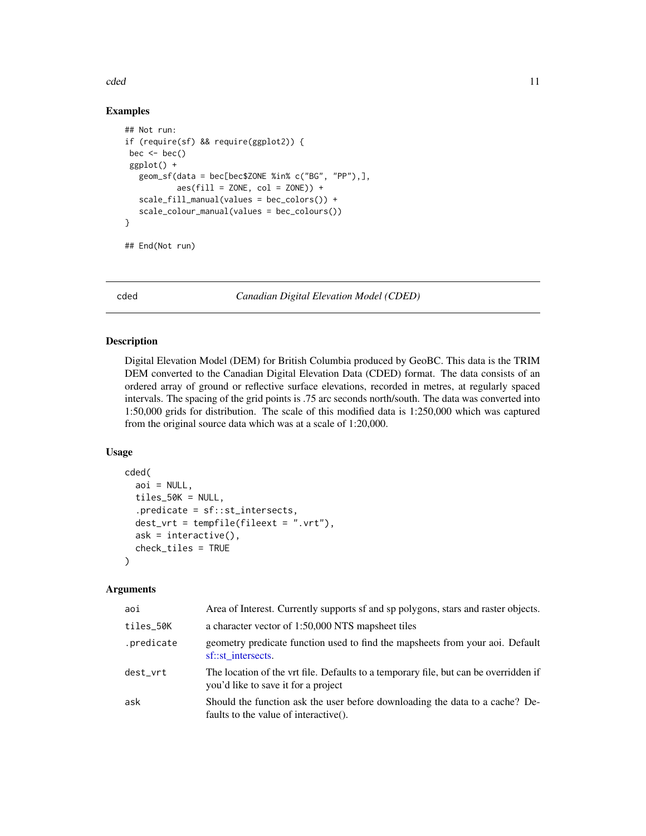#### <span id="page-10-0"></span>cded the contract of the contract of the contract of the contract of the contract of the contract of the contract of the contract of the contract of the contract of the contract of the contract of the contract of the contr

#### Examples

```
## Not run:
if (require(sf) && require(ggplot2)) {
bec < - bec()ggplot() +
  geom_sf(data = bec[bec$ZONE %in% c("BG", "PP"),],
           aes(fill = ZONE, col = ZONE) +
  scale_fill_manual(values = bec_colors()) +
  scale_colour_manual(values = bec_colours())
}
```

```
## End(Not run)
```
<span id="page-10-1"></span>cded *Canadian Digital Elevation Model (CDED)*

### Description

Digital Elevation Model (DEM) for British Columbia produced by GeoBC. This data is the TRIM DEM converted to the Canadian Digital Elevation Data (CDED) format. The data consists of an ordered array of ground or reflective surface elevations, recorded in metres, at regularly spaced intervals. The spacing of the grid points is .75 arc seconds north/south. The data was converted into 1:50,000 grids for distribution. The scale of this modified data is 1:250,000 which was captured from the original source data which was at a scale of 1:20,000.

### Usage

```
cded(
  aoi = NULL,tiles_50K = NULL,
  .predicate = sf::st_intersects,
  dest_vrt = tempfile(fileext = ".vrt"),
  ask = interactive(),check_tiles = TRUE
)
```
#### Arguments

| aoi        | Area of Interest. Currently supports of and sp polygons, stars and raster objects.                                          |
|------------|-----------------------------------------------------------------------------------------------------------------------------|
| tiles_50K  | a character vector of 1:50,000 NTS mapsheet tiles                                                                           |
| .predicate | geometry predicate function used to find the mapsheets from your aoi. Default<br>sf::st intersects.                         |
| dest_vrt   | The location of the vrt file. Defaults to a temporary file, but can be overridden if<br>you'd like to save it for a project |
| ask        | Should the function ask the user before downloading the data to a cache? De-<br>faults to the value of interactive().       |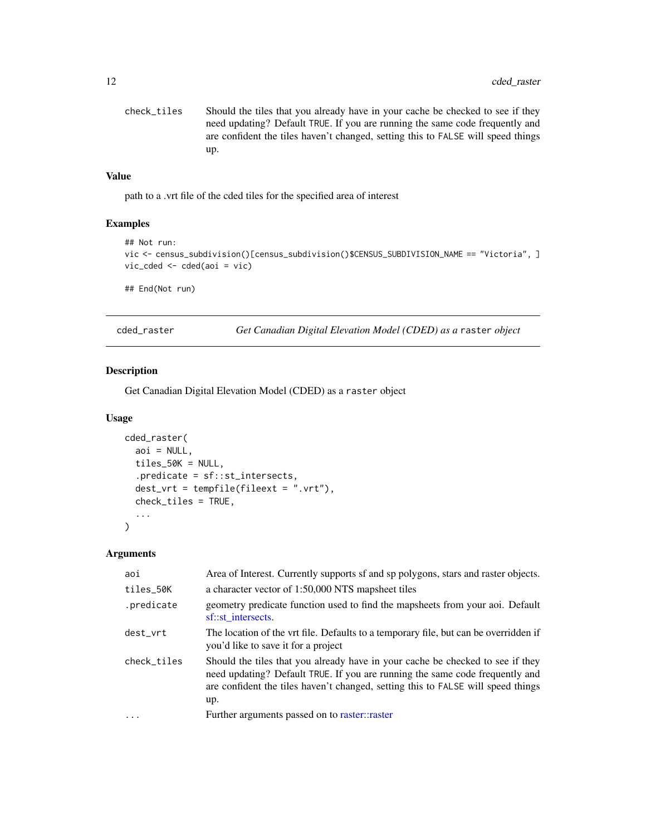```
check_tiles Should the tiles that you already have in your cache be checked to see if they
                  need updating? Default TRUE. If you are running the same code frequently and
                  are confident the tiles haven't changed, setting this to FALSE will speed things
                  up.
```
#### Value

path to a .vrt file of the cded tiles for the specified area of interest

#### Examples

```
## Not run:
vic <- census_subdivision()[census_subdivision()$CENSUS_SUBDIVISION_NAME == "Victoria", ]
vic_cded <- cded(aoi = vic)
## End(Not run)
```
cded\_raster *Get Canadian Digital Elevation Model (CDED) as a* raster *object*

### Description

Get Canadian Digital Elevation Model (CDED) as a raster object

#### Usage

```
cded_raster(
  aoi = NULL,tiles_50K = NULL,
  .predicate = sf::st_intersects,
 dest_vrt = tempfile(fileext = "vrt"),check_tiles = TRUE,
  ...
)
```
#### Arguments

| aoi         | Area of Interest. Currently supports of and sp polygons, stars and raster objects.                                                                                                                                                                        |  |
|-------------|-----------------------------------------------------------------------------------------------------------------------------------------------------------------------------------------------------------------------------------------------------------|--|
| tiles_50K   | a character vector of 1:50,000 NTS mapsheet tiles                                                                                                                                                                                                         |  |
| .predicate  | geometry predicate function used to find the mapsheets from your aoi. Default<br>sf::st_intersects.                                                                                                                                                       |  |
| dest_vrt    | The location of the vrt file. Defaults to a temporary file, but can be overridden if<br>you'd like to save it for a project                                                                                                                               |  |
| check_tiles | Should the tiles that you already have in your cache be checked to see if they<br>need updating? Default TRUE. If you are running the same code frequently and<br>are confident the tiles haven't changed, setting this to FALSE will speed things<br>up. |  |
| .           | Further arguments passed on to raster::raster                                                                                                                                                                                                             |  |
|             |                                                                                                                                                                                                                                                           |  |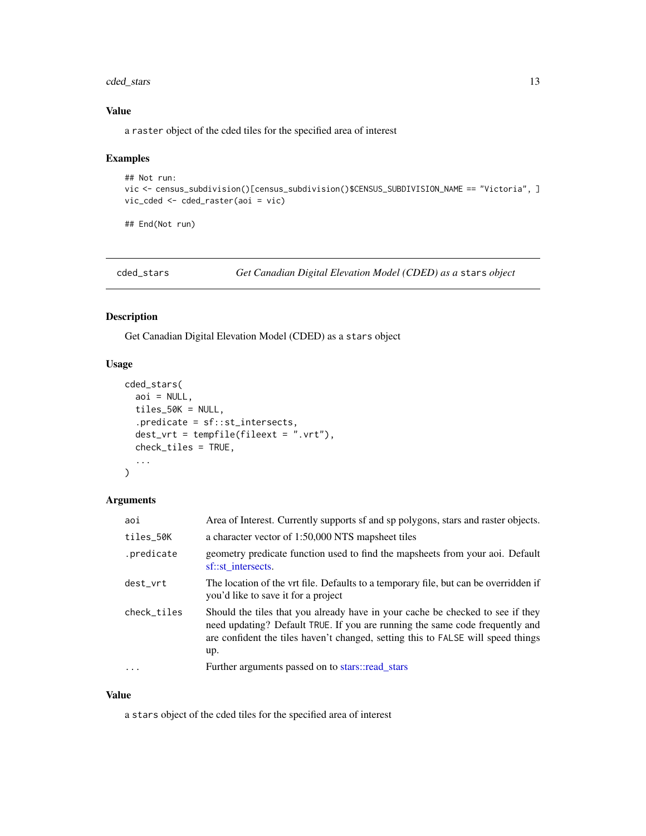### <span id="page-12-0"></span>cded\_stars 13

#### Value

a raster object of the cded tiles for the specified area of interest

### Examples

```
## Not run:
vic <- census_subdivision()[census_subdivision()$CENSUS_SUBDIVISION_NAME == "Victoria", ]
vic_cded <- cded_raster(aoi = vic)
```
## End(Not run)

cded\_stars *Get Canadian Digital Elevation Model (CDED) as a* stars *object*

### Description

Get Canadian Digital Elevation Model (CDED) as a stars object

### Usage

```
cded_stars(
  aoi = NULL,tiles_50K = NULL,
  .predicate = sf::st_intersects,
  dest_vrt = tempfile(fileext = ".vrt"),
  check_tiles = TRUE,
  ...
\mathcal{L}
```
### Arguments

| aoi         | Area of Interest. Currently supports of and sp polygons, stars and raster objects.                                                                                                                                                                        |
|-------------|-----------------------------------------------------------------------------------------------------------------------------------------------------------------------------------------------------------------------------------------------------------|
| tiles_50K   | a character vector of 1:50,000 NTS mapsheet tiles                                                                                                                                                                                                         |
| .predicate  | geometry predicate function used to find the mapsheets from your aoi. Default<br>sf::st intersects.                                                                                                                                                       |
| dest_vrt    | The location of the vrt file. Defaults to a temporary file, but can be overridden if<br>you'd like to save it for a project                                                                                                                               |
| check_tiles | Should the tiles that you already have in your cache be checked to see if they<br>need updating? Default TRUE. If you are running the same code frequently and<br>are confident the tiles haven't changed, setting this to FALSE will speed things<br>up. |
| $\ddots$ .  | Further arguments passed on to stars::read_stars                                                                                                                                                                                                          |

#### Value

a stars object of the cded tiles for the specified area of interest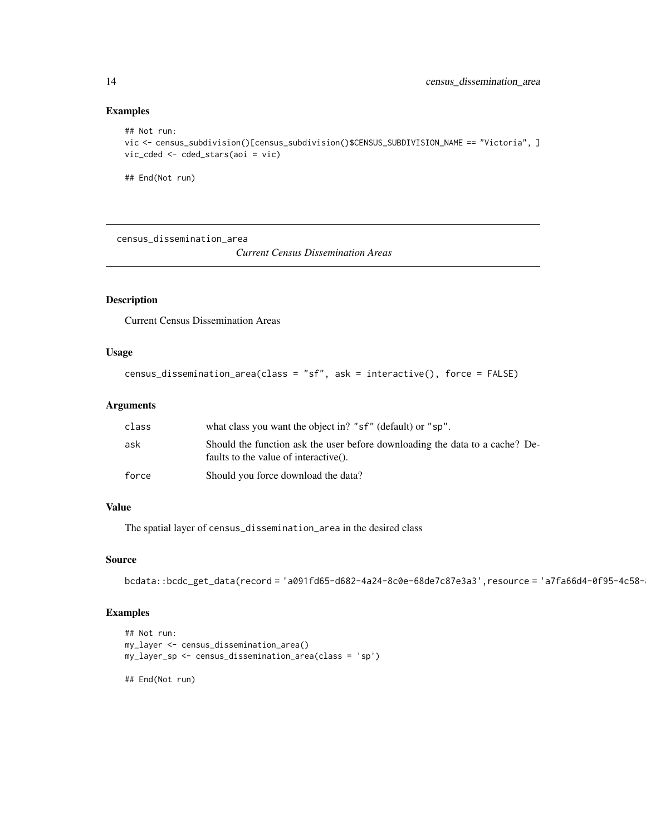#### Examples

```
## Not run:
vic <- census_subdivision()[census_subdivision()$CENSUS_SUBDIVISION_NAME == "Victoria", ]
vic_cded <- cded_stars(aoi = vic)
```
## End(Not run)

census\_dissemination\_area

*Current Census Dissemination Areas*

### Description

Current Census Dissemination Areas

#### Usage

```
census_dissemination_area(class = "sf", ask = interactive(), force = FALSE)
```
#### Arguments

| class | what class you want the object in? "sf" (default) or "sp".                                                            |
|-------|-----------------------------------------------------------------------------------------------------------------------|
| ask   | Should the function ask the user before downloading the data to a cache? De-<br>faults to the value of interactive(). |
| force | Should you force download the data?                                                                                   |

#### Value

The spatial layer of census\_dissemination\_area in the desired class

#### Source

```
bcdata::bcdc_get_data(record = 'a091fd65-d682-4a24-8c0e-68de7c87e3a3',resource = 'a7fa66d4-0f95-4c58-
```
#### Examples

```
## Not run:
my_layer <- census_dissemination_area()
my_layer_sp <- census_dissemination_area(class = 'sp')
```
## End(Not run)

<span id="page-13-0"></span>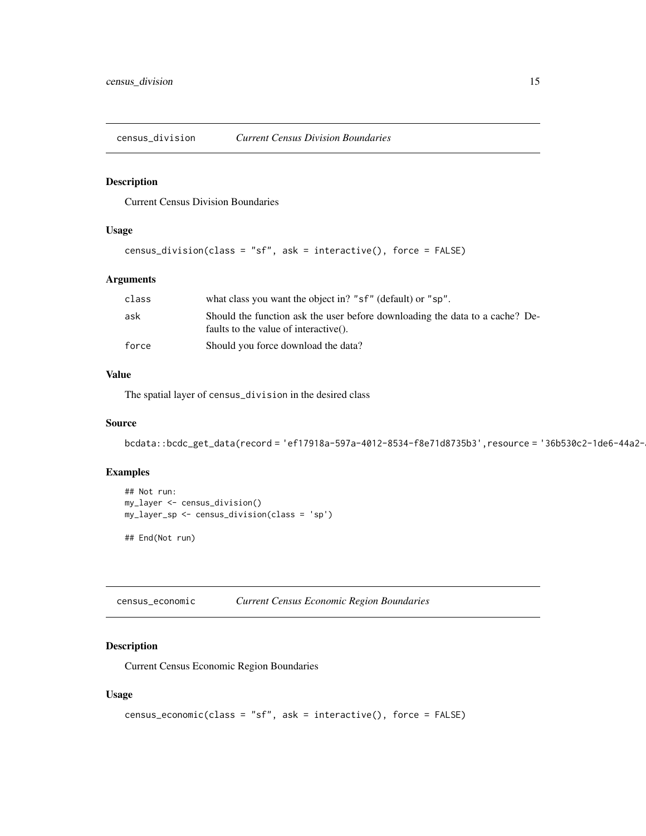<span id="page-14-0"></span>census\_division *Current Census Division Boundaries*

### Description

Current Census Division Boundaries

#### Usage

```
census_division(class = "sf", ask = interactive(), force = FALSE)
```
### Arguments

| class | what class you want the object in? "sf" (default) or "sp".                                                            |
|-------|-----------------------------------------------------------------------------------------------------------------------|
| ask   | Should the function ask the user before downloading the data to a cache? De-<br>faults to the value of interactive(). |
| force | Should you force download the data?                                                                                   |

### Value

The spatial layer of census\_division in the desired class

#### Source

bcdata::bcdc\_get\_data(record = 'ef17918a-597a-4012-8534-f8e71d8735b3',resource = '36b530c2-1de6-44a2-

#### Examples

```
## Not run:
my_layer <- census_division()
my_layer_sp <- census_division(class = 'sp')
## End(Not run)
```
census\_economic *Current Census Economic Region Boundaries*

#### Description

Current Census Economic Region Boundaries

```
census_economic(class = "sf", ask = interactive(), force = FALSE)
```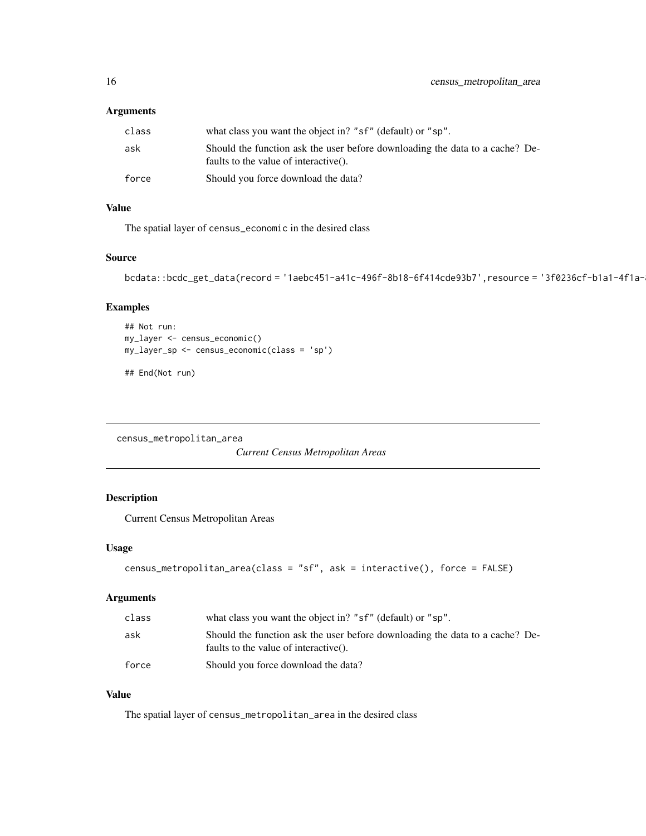### <span id="page-15-0"></span>Arguments

| class | what class you want the object in? "sf" (default) or "sp".                                                            |
|-------|-----------------------------------------------------------------------------------------------------------------------|
| ask   | Should the function ask the user before downloading the data to a cache? De-<br>faults to the value of interactive(). |
| force | Should you force download the data?                                                                                   |

### Value

The spatial layer of census\_economic in the desired class

### Source

bcdata::bcdc\_get\_data(record = '1aebc451-a41c-496f-8b18-6f414cde93b7',resource = '3f0236cf-b1a1-4f1a-

### Examples

```
## Not run:
my_layer <- census_economic()
my_layer_sp <- census_economic(class = 'sp')
```
## End(Not run)

census\_metropolitan\_area

*Current Census Metropolitan Areas*

### Description

Current Census Metropolitan Areas

### Usage

```
census_metropolitan_area(class = "sf", ask = interactive(), force = FALSE)
```
### Arguments

| class | what class you want the object in? "sf" (default) or "sp".                                                            |
|-------|-----------------------------------------------------------------------------------------------------------------------|
| ask   | Should the function ask the user before downloading the data to a cache? De-<br>faults to the value of interactive(). |
| force | Should you force download the data?                                                                                   |

### Value

The spatial layer of census\_metropolitan\_area in the desired class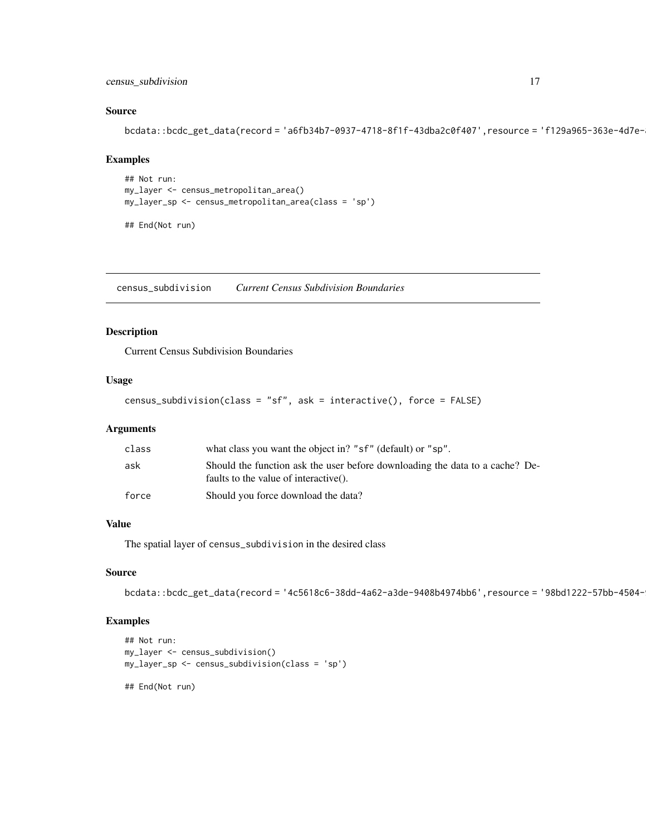### <span id="page-16-0"></span>census\_subdivision 17

#### Source

```
bcdata::bcdc_get_data(record = 'a6fb34b7-0937-4718-8f1f-43dba2c0f407',resource = 'f129a965-363e-4d7e-
```
### Examples

```
## Not run:
my_layer <- census_metropolitan_area()
my_layer_sp <- census_metropolitan_area(class = 'sp')
```
## End(Not run)

census\_subdivision *Current Census Subdivision Boundaries*

### Description

Current Census Subdivision Boundaries

#### Usage

```
census_subdivision(class = "sf", ask = interactive(), force = FALSE)
```
### Arguments

| class | what class you want the object in? "sf" (default) or "sp".                                                            |
|-------|-----------------------------------------------------------------------------------------------------------------------|
| ask   | Should the function ask the user before downloading the data to a cache? De-<br>faults to the value of interactive(). |
| force | Should you force download the data?                                                                                   |

### Value

The spatial layer of census\_subdivision in the desired class

#### Source

```
bcdata::bcdc_get_data(record = '4c5618c6-38dd-4a62-a3de-9408b4974bb6',resource = '98bd1222-57bb-4504-
```
### Examples

```
## Not run:
my_layer <- census_subdivision()
my_layer_sp <- census_subdivision(class = 'sp')
## End(Not run)
```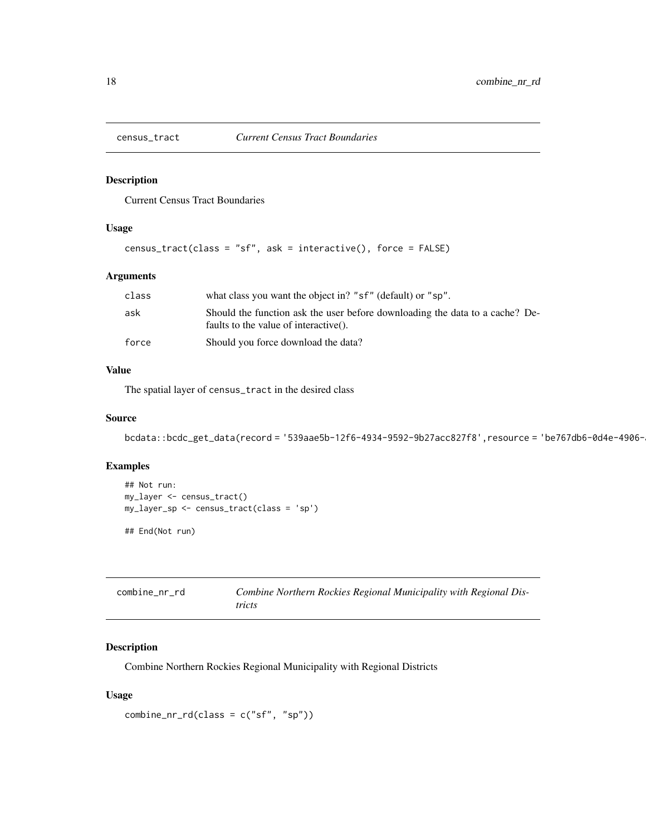<span id="page-17-0"></span>

Current Census Tract Boundaries

#### Usage

```
census_tract(class = "sf", ask = interactive(), force = FALSE)
```
### Arguments

| class | what class you want the object in? "sf" (default) or "sp".                                                            |
|-------|-----------------------------------------------------------------------------------------------------------------------|
| ask   | Should the function ask the user before downloading the data to a cache? De-<br>faults to the value of interactive(). |
| force | Should you force download the data?                                                                                   |

#### Value

The spatial layer of census\_tract in the desired class

### Source

```
bcdata::bcdc_get_data(record = '539aae5b-12f6-4934-9592-9b27acc827f8',resource = 'be767db6-0d4e-4906-
```
### Examples

```
## Not run:
my_layer <- census_tract()
my_layer_sp <- census_tract(class = 'sp')
## End(Not run)
```
<span id="page-17-1"></span>

| combine_nr_rd | Combine Northern Rockies Regional Municipality with Regional Dis- |
|---------------|-------------------------------------------------------------------|
|               | tricts                                                            |

### Description

Combine Northern Rockies Regional Municipality with Regional Districts

```
combine_nr_rd(class = c("sf", "sp"))
```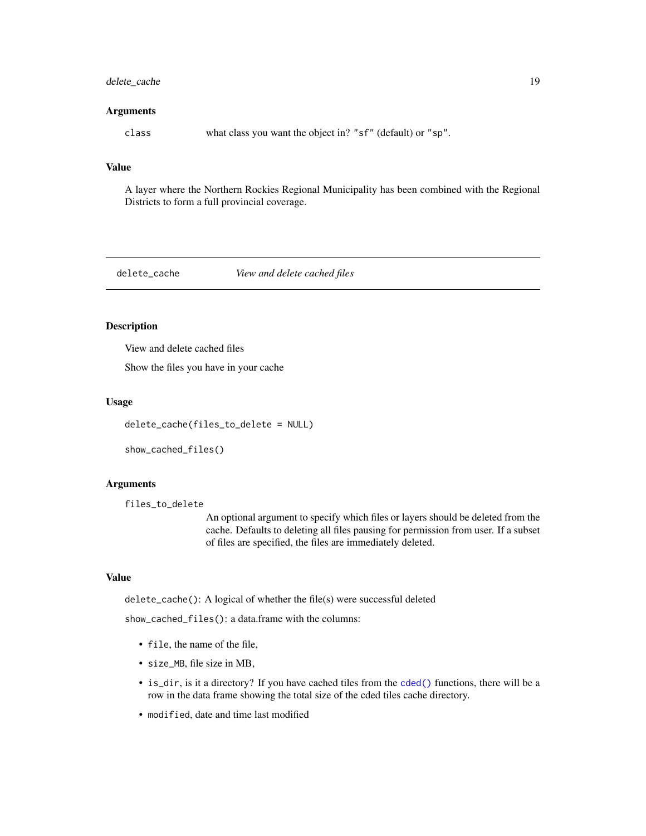### <span id="page-18-0"></span>delete\_cache 19

#### Arguments

class what class you want the object in? "sf" (default) or "sp".

### Value

A layer where the Northern Rockies Regional Municipality has been combined with the Regional Districts to form a full provincial coverage.

#### delete\_cache *View and delete cached files*

### Description

View and delete cached files

Show the files you have in your cache

#### Usage

delete\_cache(files\_to\_delete = NULL)

```
show_cached_files()
```
#### Arguments

```
files_to_delete
```
An optional argument to specify which files or layers should be deleted from the cache. Defaults to deleting all files pausing for permission from user. If a subset of files are specified, the files are immediately deleted.

#### Value

delete\_cache(): A logical of whether the file(s) were successful deleted

show\_cached\_files(): a data.frame with the columns:

- file, the name of the file,
- size\_MB, file size in MB,
- is\_dir, is it a directory? If you have cached tiles from the [cded\(\)](#page-10-1) functions, there will be a row in the data frame showing the total size of the cded tiles cache directory.
- modified, date and time last modified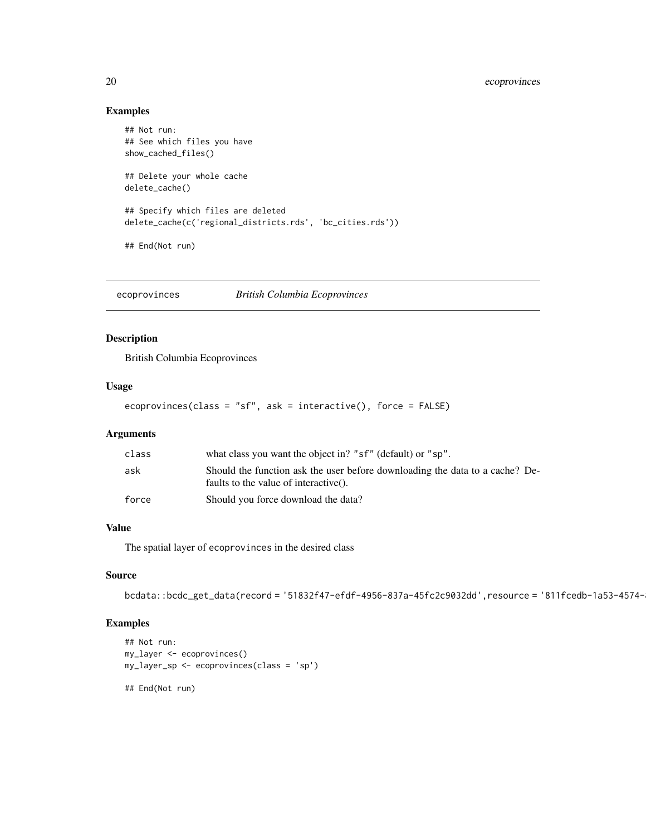### Examples

```
## Not run:
## See which files you have
show_cached_files()
## Delete your whole cache
delete_cache()
## Specify which files are deleted
delete_cache(c('regional_districts.rds', 'bc_cities.rds'))
## End(Not run)
```
ecoprovinces *British Columbia Ecoprovinces*

### Description

British Columbia Ecoprovinces

### Usage

```
ecoprovinces(class = "sf", ask = interactive(), force = FALSE)
```
### Arguments

| class | what class you want the object in? "sf" (default) or "sp".                                                            |
|-------|-----------------------------------------------------------------------------------------------------------------------|
| ask   | Should the function ask the user before downloading the data to a cache? De-<br>faults to the value of interactive(). |
| force | Should you force download the data?                                                                                   |

### Value

The spatial layer of ecoprovinces in the desired class

### Source

```
bcdata::bcdc_get_data(record = '51832f47-efdf-4956-837a-45fc2c9032dd',resource = '811fcedb-1a53-4574-
```
### Examples

```
## Not run:
my_layer <- ecoprovinces()
my_layer_sp <- ecoprovinces(class = 'sp')
## End(Not run)
```
<span id="page-19-0"></span>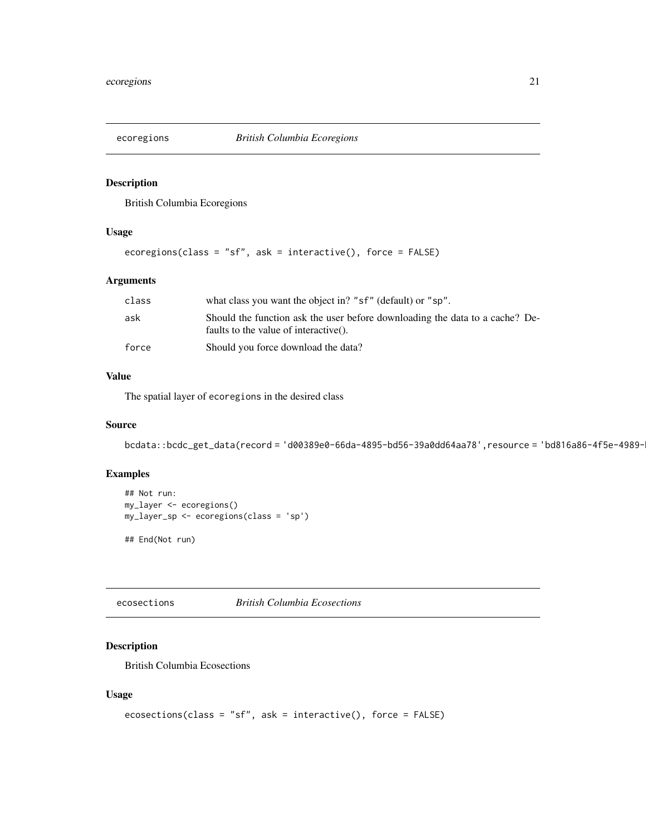<span id="page-20-0"></span>

British Columbia Ecoregions

### Usage

```
ecoregions(class = "sf", ask = interactive(), force = FALSE)
```
### Arguments

| class | what class you want the object in? "sf" (default) or "sp".                                                            |
|-------|-----------------------------------------------------------------------------------------------------------------------|
| ask   | Should the function ask the user before downloading the data to a cache? De-<br>faults to the value of interactive(). |
| force | Should you force download the data?                                                                                   |

### Value

The spatial layer of ecoregions in the desired class

### Source

```
bcdata::bcdc_get_data(record = 'd00389e0-66da-4895-bd56-39a0dd64aa78',resource = 'bd816a86-4f5e-4989-
```
### Examples

```
## Not run:
my_layer <- ecoregions()
my_layer_sp <- ecoregions(class = 'sp')
```
## End(Not run)

ecosections *British Columbia Ecosections*

### Description

British Columbia Ecosections

```
ecosections(class = "sf", ask = interactive(), force = FALSE)
```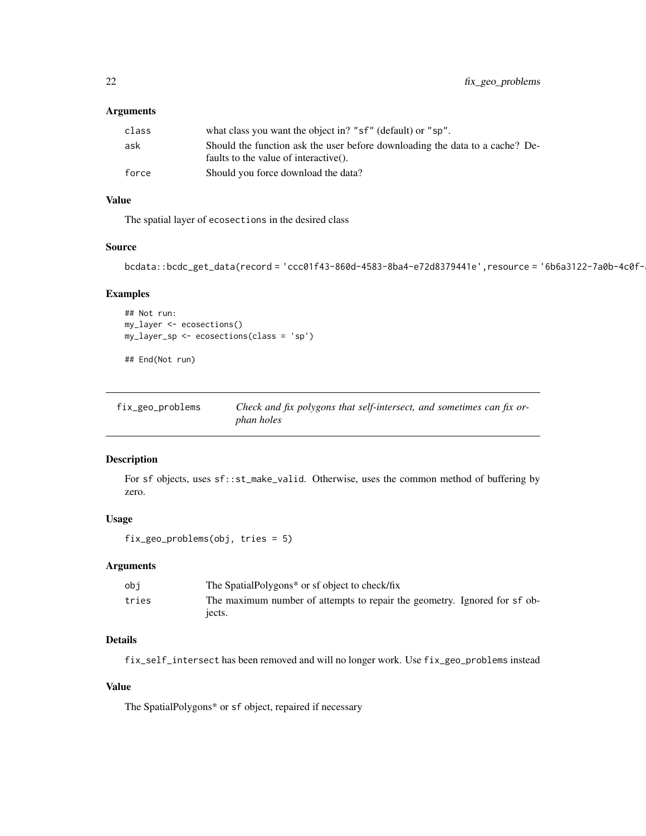### <span id="page-21-0"></span>Arguments

| class | what class you want the object in? "sf" (default) or "sp".                                                            |
|-------|-----------------------------------------------------------------------------------------------------------------------|
| ask   | Should the function ask the user before downloading the data to a cache? De-<br>faults to the value of interactive(). |
|       |                                                                                                                       |
| force | Should you force download the data?                                                                                   |

### Value

The spatial layer of ecosections in the desired class

### Source

```
bcdata::bcdc_get_data(record = 'ccc01f43-860d-4583-8ba4-e72d8379441e',resource = '6b6a3122-7a0b-4c0f-
```
### Examples

```
## Not run:
my_layer <- ecosections()
my_layer_sp <- ecosections(class = 'sp')
```
## End(Not run)

| fix_geo_problems | Check and fix polygons that self-intersect, and sometimes can fix or- |
|------------------|-----------------------------------------------------------------------|
|                  | <i>phan holes</i>                                                     |

#### Description

For sf objects, uses sf::st\_make\_valid. Otherwise, uses the common method of buffering by zero.

### Usage

```
fix_geo_problems(obj, tries = 5)
```
### Arguments

| obi   | The SpatialPolygons* or sf object to check/fix                            |
|-------|---------------------------------------------------------------------------|
| tries | The maximum number of attempts to repair the geometry. Ignored for sf ob- |
|       | iects.                                                                    |

### Details

fix\_self\_intersect has been removed and will no longer work. Use fix\_geo\_problems instead

### Value

The SpatialPolygons\* or sf object, repaired if necessary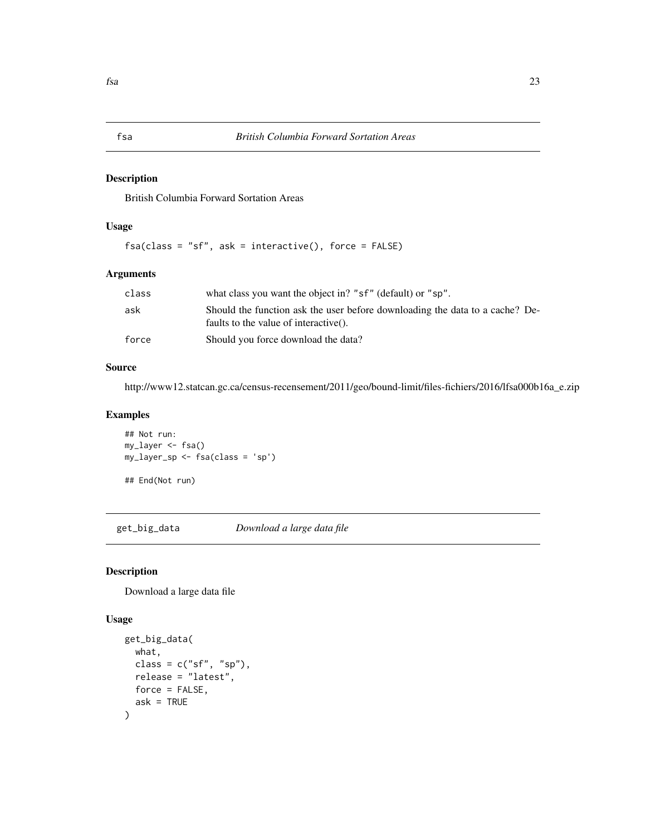<span id="page-22-0"></span>British Columbia Forward Sortation Areas

### Usage

 $fsa(class = "sf", ask = interactive(), force = FALSE)$ 

### Arguments

| class | what class you want the object in? "sf" (default) or "sp".                                                            |
|-------|-----------------------------------------------------------------------------------------------------------------------|
| ask   | Should the function ask the user before downloading the data to a cache? De-<br>faults to the value of interactive(). |
| force | Should you force download the data?                                                                                   |

### Source

http://www12.statcan.gc.ca/census-recensement/2011/geo/bound-limit/files-fichiers/2016/lfsa000b16a\_e.zip

#### Examples

```
## Not run:
my_layer <- fsa()
my_layer_sp <- fsa(class = 'sp')
## End(Not run)
```
<span id="page-22-1"></span>get\_big\_data *Download a large data file*

### Description

Download a large data file

```
get_big_data(
  what,
  class = c("sf", "sp"),
  release = "latest",
  force = FALSE,
  ask = TRUE\mathcal{E}
```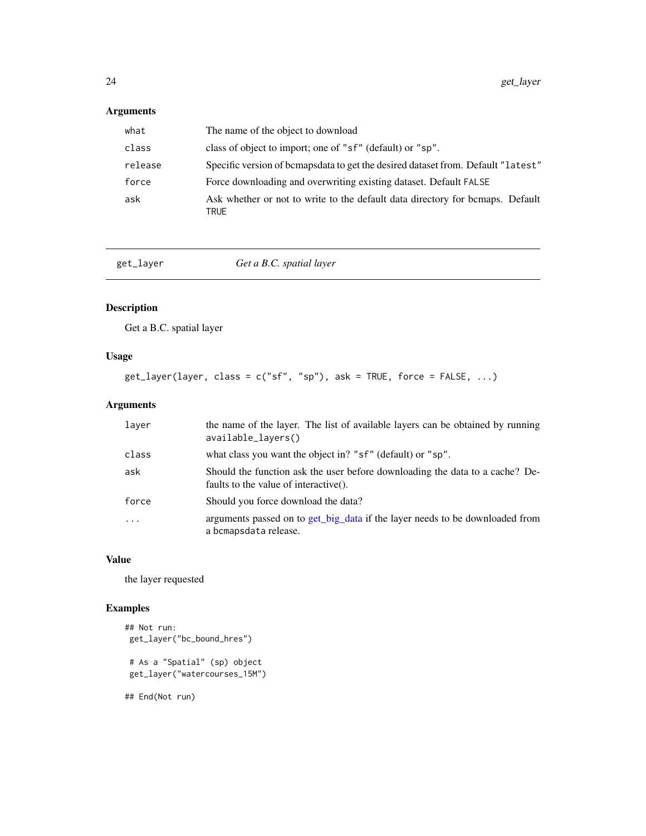### <span id="page-23-0"></span>Arguments

| what    | The name of the object to download                                                    |
|---------|---------------------------------------------------------------------------------------|
| class   | class of object to import; one of "sf" (default) or "sp".                             |
| release | Specific version of bemapsdata to get the desired dataset from. Default "latest"      |
| force   | Force downloading and overwriting existing dataset. Default FALSE                     |
| ask     | Ask whether or not to write to the default data directory for bemaps. Default<br>TRUE |

get\_layer *Get a B.C. spatial layer*

### Description

Get a B.C. spatial layer

### Usage

 $get\_layer(layer, class = c("sf", "sp"), ask = TRUE, force = FALSE, ...)$ 

### Arguments

| laver   | the name of the layer. The list of available layers can be obtained by running<br>available_layers()                      |
|---------|---------------------------------------------------------------------------------------------------------------------------|
| class   | what class you want the object in? "sf" (default) or "sp".                                                                |
| ask     | Should the function ask the user before downloading the data to a cache? De-<br>faults to the value of interactive $()$ . |
| force   | Should you force download the data?                                                                                       |
| $\cdot$ | arguments passed on to get_big_data if the layer needs to be downloaded from<br>a bcmapsdata release.                     |

### Value

the layer requested

### Examples

```
## Not run:
get_layer("bc_bound_hres")
# As a "Spatial" (sp) object
get_layer("watercourses_15M")
## End(Not run)
```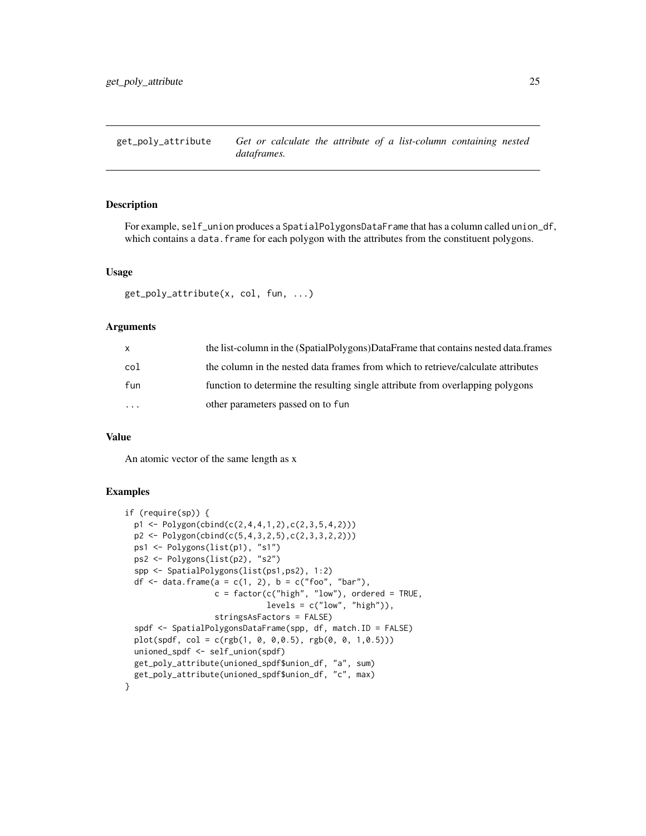<span id="page-24-0"></span>get\_poly\_attribute *Get or calculate the attribute of a list-column containing nested dataframes.*

### Description

For example, self\_union produces a SpatialPolygonsDataFrame that has a column called union\_df, which contains a data. frame for each polygon with the attributes from the constituent polygons.

#### Usage

```
get_poly_attribute(x, col, fun, ...)
```
### **Arguments**

| $\mathsf{X}$         | the list-column in the (SpatialPolygons)DataFrame that contains nested data.frames |
|----------------------|------------------------------------------------------------------------------------|
| col                  | the column in the nested data frames from which to retrieve/calculate attributes   |
| fun                  | function to determine the resulting single attribute from overlapping polygons     |
| $\ddot{\phantom{0}}$ | other parameters passed on to fun                                                  |

#### Value

An atomic vector of the same length as x

#### Examples

```
if (require(sp)) {
 p1 <- Polygon(cbind(c(2,4,4,1,2),c(2,3,5,4,2)))
 p2 <- Polygon(cbind(c(5,4,3,2,5),c(2,3,3,2,2)))
 ps1 <- Polygons(list(p1), "s1")
 ps2 <- Polygons(list(p2), "s2")
 spp <- SpatialPolygons(list(ps1,ps2), 1:2)
 df <- data.frame(a = c(1, 2), b = c("foo", "bar"),
                  c = factor(c("high", "low"), ordered = TRUE,levels = c("low", "high"),
                   stringsAsFactors = FALSE)
 spdf <- SpatialPolygonsDataFrame(spp, df, match.ID = FALSE)
 plot(spdf, col = c(rgb(1, 0, 0, 0.5), rgb(0, 0, 1, 0.5)))unioned_spdf <- self_union(spdf)
 get_poly_attribute(unioned_spdf$union_df, "a", sum)
 get_poly_attribute(unioned_spdf$union_df, "c", max)
}
```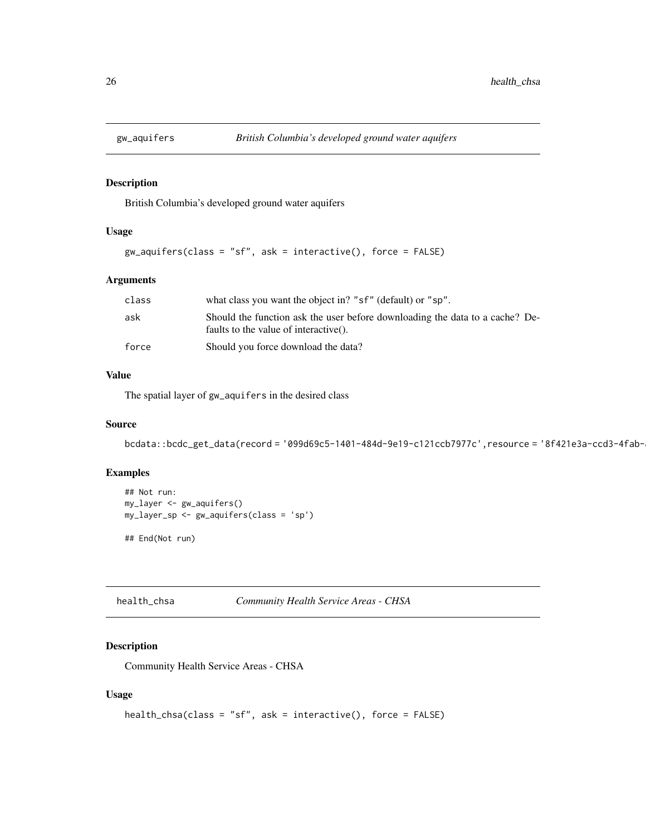<span id="page-25-0"></span>

British Columbia's developed ground water aquifers

### Usage

```
gw_aquifers(class = "sf", ask = interactive(), force = FALSE)
```
### Arguments

| class | what class you want the object in? "sf" (default) or "sp".                                                            |
|-------|-----------------------------------------------------------------------------------------------------------------------|
| ask   | Should the function ask the user before downloading the data to a cache? De-<br>faults to the value of interactive(). |
| force | Should you force download the data?                                                                                   |

#### Value

The spatial layer of gw\_aquifers in the desired class

### Source

```
bcdata::bcdc_get_data(record = '099d69c5-1401-484d-9e19-c121ccb7977c',resource = '8f421e3a-ccd3-4fab-
```
### Examples

```
## Not run:
my_layer <- gw_aquifers()
my_layer_sp <- gw_aquifers(class = 'sp')
```
## End(Not run)

health\_chsa *Community Health Service Areas - CHSA*

### Description

Community Health Service Areas - CHSA

```
health_chsa(class = "sf", ask = interactive(), force = FALSE)
```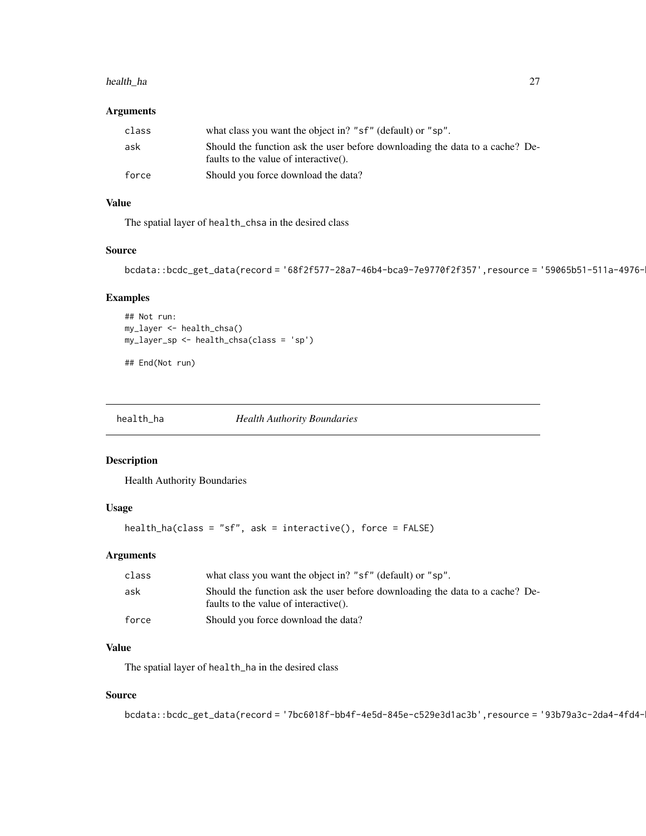#### <span id="page-26-0"></span>health\_ha 27

### Arguments

| class | what class you want the object in? "sf" (default) or "sp".                                                            |
|-------|-----------------------------------------------------------------------------------------------------------------------|
| ask   | Should the function ask the user before downloading the data to a cache? De-<br>faults to the value of interactive(). |
| force | Should you force download the data?                                                                                   |

### Value

The spatial layer of health\_chsa in the desired class

#### Source

```
bcdata::bcdc_get_data(record = '68f2f577-28a7-46b4-bca9-7e9770f2f357',resource = '59065b51-511a-4976-
```
### Examples

```
## Not run:
my_layer <- health_chsa()
my_layer_sp <- health_chsa(class = 'sp')
```
## End(Not run)

health\_ha *Health Authority Boundaries*

#### Description

Health Authority Boundaries

#### Usage

```
health_ha(class = "sf", ask = interactive(), force = FALSE)
```
### Arguments

| class | what class you want the object in? "sf" (default) or "sp".                                                            |
|-------|-----------------------------------------------------------------------------------------------------------------------|
| ask   | Should the function ask the user before downloading the data to a cache? De-<br>faults to the value of interactive(). |
| force | Should you force download the data?                                                                                   |

### Value

The spatial layer of health\_ha in the desired class

### Source

```
bcdata::bcdc_get_data(record = '7bc6018f-bb4f-4e5d-845e-c529e3d1ac3b',resource = '93b79a3c-2da4-4fd4-
```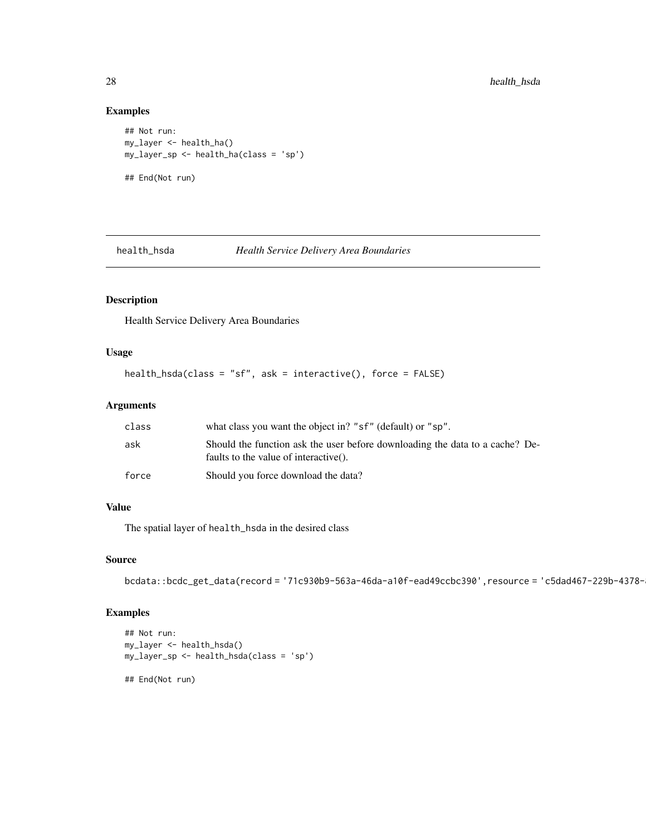### Examples

```
## Not run:
my_layer <- health_ha()
my_layer_sp <- health_ha(class = 'sp')
## End(Not run)
```
### health\_hsda *Health Service Delivery Area Boundaries*

### Description

Health Service Delivery Area Boundaries

### Usage

```
health_hsda(class = "sf", ask = interactive(), force = FALSE)
```
### Arguments

| class | what class you want the object in? "sf" (default) or "sp".                                                            |
|-------|-----------------------------------------------------------------------------------------------------------------------|
| ask   | Should the function ask the user before downloading the data to a cache? De-<br>faults to the value of interactive(). |
| force | Should you force download the data?                                                                                   |

#### Value

The spatial layer of health\_hsda in the desired class

#### Source

```
bcdata::bcdc_get_data(record = '71c930b9-563a-46da-a10f-ead49ccbc390',resource = 'c5dad467-229b-4378-
```
#### Examples

```
## Not run:
my_layer <- health_hsda()
my_layer_sp <- health_hsda(class = 'sp')
```
## End(Not run)

<span id="page-27-0"></span>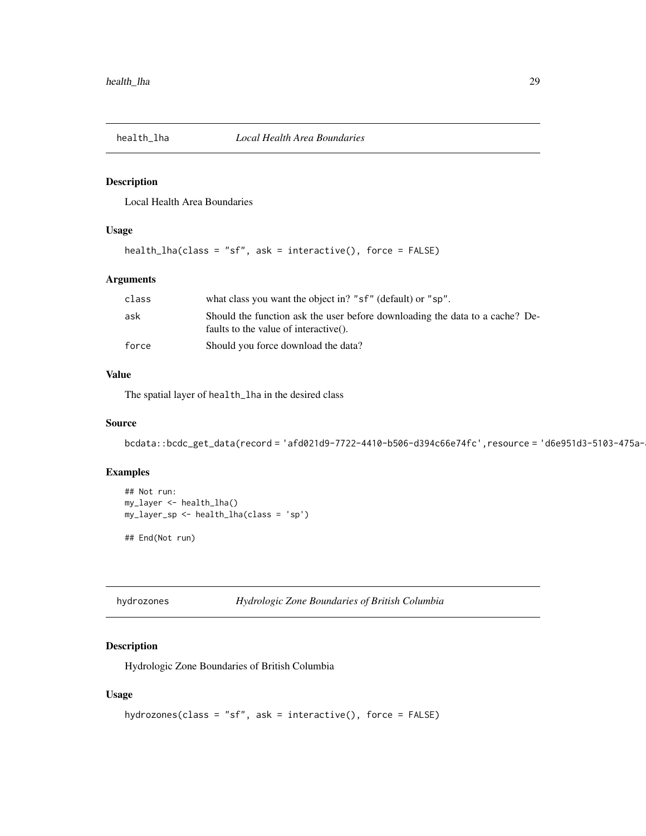<span id="page-28-0"></span>

Local Health Area Boundaries

### Usage

```
health_lha(class = "sf", ask = interactive(), force = FALSE)
```
### Arguments

| class | what class you want the object in? "sf" (default) or "sp".                                                            |
|-------|-----------------------------------------------------------------------------------------------------------------------|
| ask   | Should the function ask the user before downloading the data to a cache? De-<br>faults to the value of interactive(). |
| force | Should you force download the data?                                                                                   |

#### Value

The spatial layer of health\_lha in the desired class

### Source

bcdata::bcdc\_get\_data(record = 'afd021d9-7722-4410-b506-d394c66e74fc',resource = 'd6e951d3-5103-475a-

### Examples

```
## Not run:
my_layer <- health_lha()
my_layer_sp <- health_lha(class = 'sp')
## End(Not run)
```

```
hydrozones Hydrologic Zone Boundaries of British Columbia
```
### Description

Hydrologic Zone Boundaries of British Columbia

```
hydrozones(class = "sf", ask = interactive(), force = FALSE)
```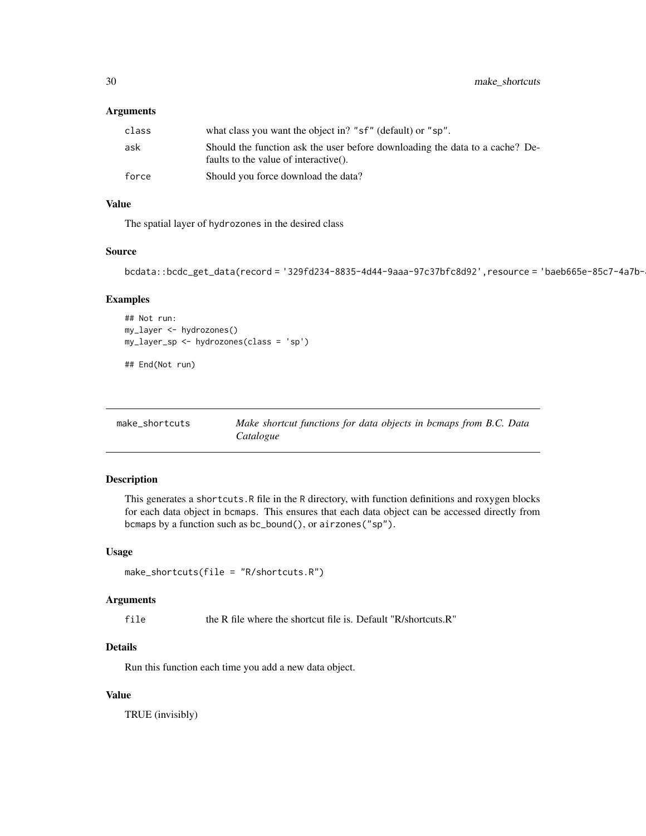#### <span id="page-29-0"></span>Arguments

| class | what class you want the object in? "sf" (default) or "sp".                                                            |
|-------|-----------------------------------------------------------------------------------------------------------------------|
| ask   | Should the function ask the user before downloading the data to a cache? De-<br>faults to the value of interactive(). |
| force | Should you force download the data?                                                                                   |

### Value

The spatial layer of hydrozones in the desired class

### Source

```
bcdata::bcdc_get_data(record = '329fd234-8835-4d44-9aaa-97c37bfc8d92',resource = 'baeb665e-85c7-4a7b-
```
### Examples

```
## Not run:
my_layer <- hydrozones()
my_layer_sp <- hydrozones(class = 'sp')
```
## End(Not run)

| make_shortcuts | Make shortcut functions for data objects in bemaps from B.C. Data |
|----------------|-------------------------------------------------------------------|
|                | Catalogue                                                         |

#### Description

This generates a shortcuts.R file in the R directory, with function definitions and roxygen blocks for each data object in bcmaps. This ensures that each data object can be accessed directly from bcmaps by a function such as bc\_bound(), or airzones("sp").

#### Usage

```
make_shortcuts(file = "R/shortcuts.R")
```
#### Arguments

file the R file where the shortcut file is. Default "R/shortcuts.R"

### Details

Run this function each time you add a new data object.

### Value

TRUE (invisibly)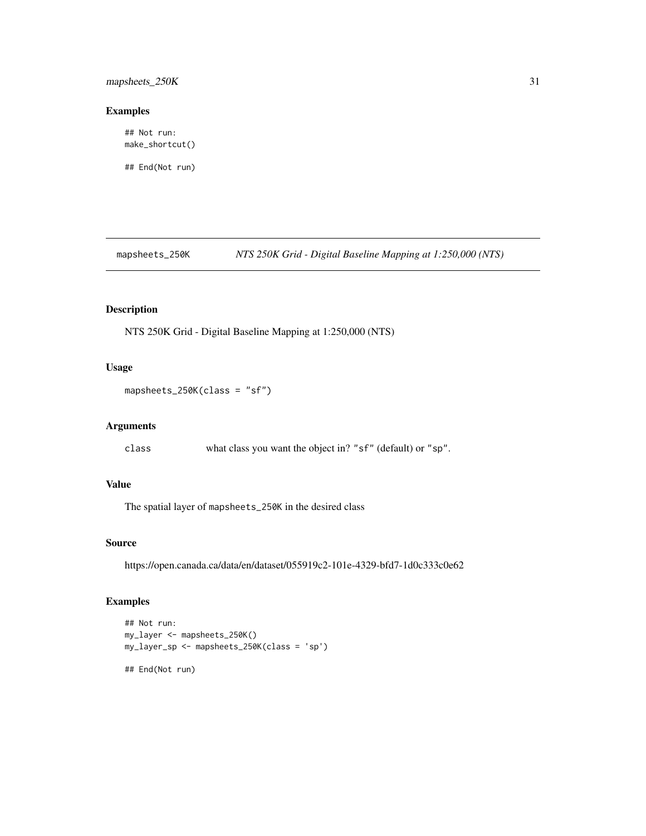<span id="page-30-0"></span>mapsheets\_250K 31

#### Examples

## Not run: make\_shortcut()

## End(Not run)

mapsheets\_250K *NTS 250K Grid - Digital Baseline Mapping at 1:250,000 (NTS)*

### Description

NTS 250K Grid - Digital Baseline Mapping at 1:250,000 (NTS)

### Usage

mapsheets\_250K(class = "sf")

### Arguments

class what class you want the object in? "sf" (default) or "sp".

### Value

The spatial layer of mapsheets\_250K in the desired class

#### Source

https://open.canada.ca/data/en/dataset/055919c2-101e-4329-bfd7-1d0c333c0e62

#### Examples

```
## Not run:
my_layer <- mapsheets_250K()
my_layer_sp <- mapsheets_250K(class = 'sp')
## End(Not run)
```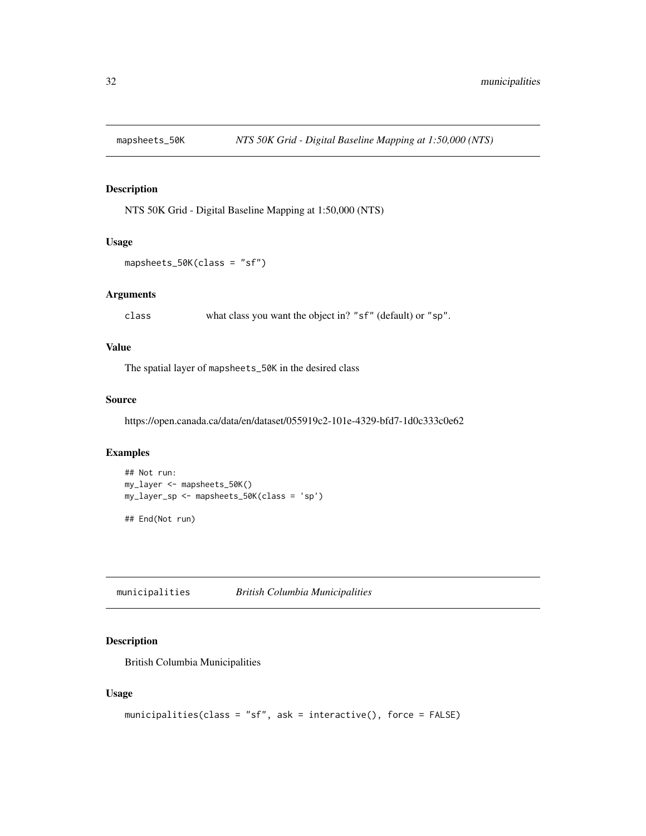<span id="page-31-0"></span>

NTS 50K Grid - Digital Baseline Mapping at 1:50,000 (NTS)

#### Usage

```
mapsheets_50K(class = "sf")
```
### Arguments

class what class you want the object in? "sf" (default) or "sp".

### Value

The spatial layer of mapsheets\_50K in the desired class

### Source

https://open.canada.ca/data/en/dataset/055919c2-101e-4329-bfd7-1d0c333c0e62

### Examples

```
## Not run:
my_layer <- mapsheets_50K()
my_layer_sp <- mapsheets_50K(class = 'sp')
## End(Not run)
```
municipalities *British Columbia Municipalities*

### Description

British Columbia Municipalities

```
municipalities(class = "sf", ask = interactive(), force = FALSE)
```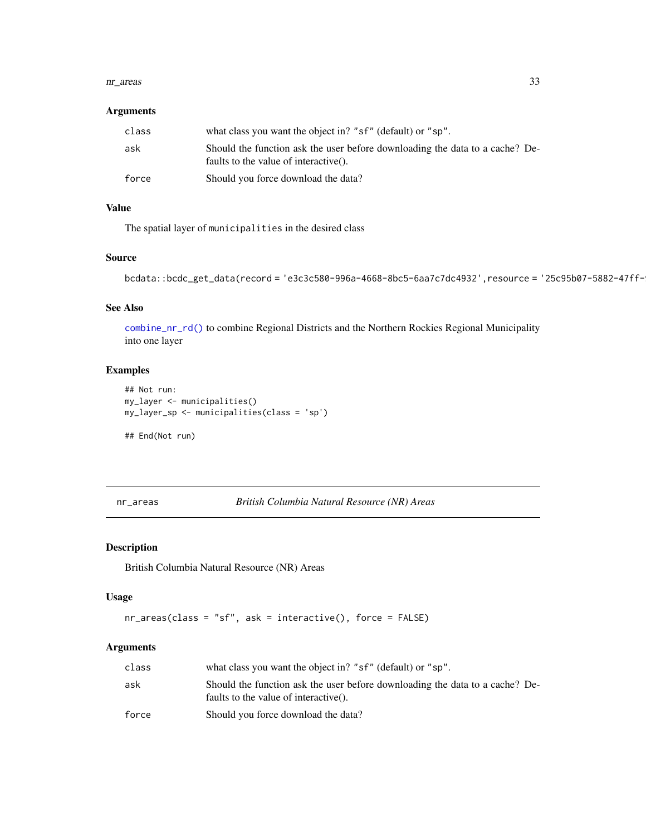#### <span id="page-32-0"></span>nr\_areas 33

#### Arguments

| class | what class you want the object in? "sf" (default) or "sp".                                                            |
|-------|-----------------------------------------------------------------------------------------------------------------------|
| ask   | Should the function ask the user before downloading the data to a cache? De-<br>faults to the value of interactive(). |
| force | Should you force download the data?                                                                                   |

### Value

The spatial layer of municipalities in the desired class

### Source

```
bcdata::bcdc_get_data(record = 'e3c3c580-996a-4668-8bc5-6aa7c7dc4932',resource = '25c95b07-5882-47ff-
```
### See Also

[combine\\_nr\\_rd\(\)](#page-17-1) to combine Regional Districts and the Northern Rockies Regional Municipality into one layer

#### Examples

```
## Not run:
my_layer <- municipalities()
my_layer_sp <- municipalities(class = 'sp')
```
## End(Not run)

nr\_areas *British Columbia Natural Resource (NR) Areas*

### Description

British Columbia Natural Resource (NR) Areas

### Usage

```
nr_areas(class = "sf", ask = interactive(), force = FALSE)
```
### Arguments

| class | what class you want the object in? "sf" (default) or "sp".                                                            |
|-------|-----------------------------------------------------------------------------------------------------------------------|
| ask   | Should the function ask the user before downloading the data to a cache? De-<br>faults to the value of interactive(). |
| force | Should you force download the data?                                                                                   |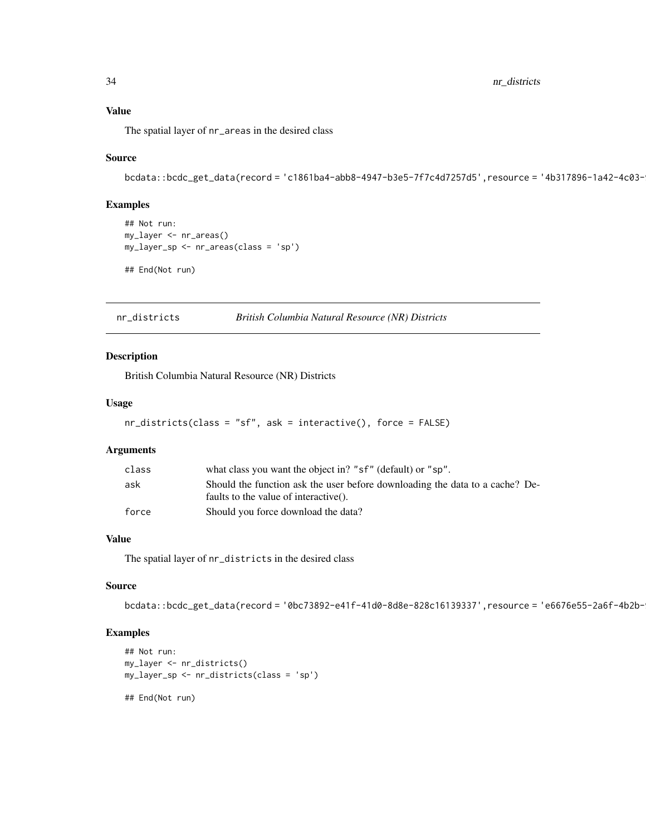<span id="page-33-0"></span>34 nr\_districts

### Value

The spatial layer of nr\_areas in the desired class

### Source

bcdata::bcdc\_get\_data(record = 'c1861ba4-abb8-4947-b3e5-7f7c4d7257d5',resource = '4b317896-1a42-4c03-

### Examples

```
## Not run:
my_layer <- nr_areas()
my_layer_sp <- nr_areas(class = 'sp')
## End(Not run)
```
nr\_districts *British Columbia Natural Resource (NR) Districts*

#### Description

British Columbia Natural Resource (NR) Districts

#### Usage

```
nr_districts(class = "sf", ask = interactive(), force = FALSE)
```
#### Arguments

| class | what class you want the object in? "sf" (default) or "sp".                   |
|-------|------------------------------------------------------------------------------|
| ask   | Should the function ask the user before downloading the data to a cache? De- |
|       | faults to the value of interactive().                                        |
| force | Should you force download the data?                                          |

### Value

The spatial layer of nr\_districts in the desired class

### Source

bcdata::bcdc\_get\_data(record = '0bc73892-e41f-41d0-8d8e-828c16139337',resource = 'e6676e55-2a6f-4b2b-

### Examples

```
## Not run:
my_layer <- nr_districts()
my_layer_sp <- nr_districts(class = 'sp')
```
## End(Not run)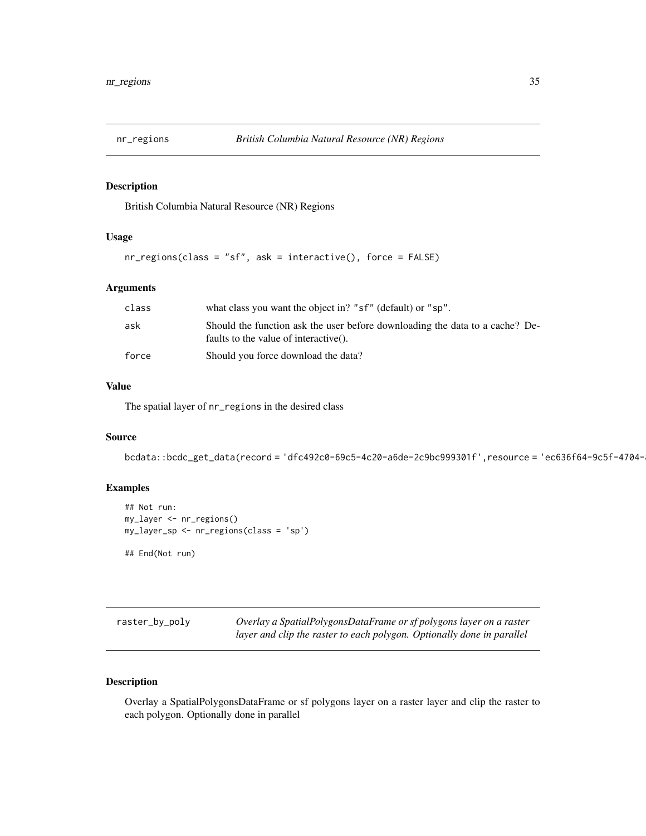<span id="page-34-0"></span>

British Columbia Natural Resource (NR) Regions

#### Usage

```
nr_regions(class = "sf", ask = interactive(), force = FALSE)
```
### Arguments

| class | what class you want the object in? "sf" (default) or "sp".                                                            |
|-------|-----------------------------------------------------------------------------------------------------------------------|
| ask   | Should the function ask the user before downloading the data to a cache? De-<br>faults to the value of interactive(). |
| force | Should you force download the data?                                                                                   |

### Value

The spatial layer of nr\_regions in the desired class

#### Source

bcdata::bcdc\_get\_data(record = 'dfc492c0-69c5-4c20-a6de-2c9bc999301f',resource = 'ec636f64-9c5f-4704-

### Examples

```
## Not run:
my_layer <- nr_regions()
my_layer_sp <- nr_regions(class = 'sp')
## End(Not run)
```
raster\_by\_poly *Overlay a SpatialPolygonsDataFrame or sf polygons layer on a raster*

## *layer and clip the raster to each polygon. Optionally done in parallel*

### Description

Overlay a SpatialPolygonsDataFrame or sf polygons layer on a raster layer and clip the raster to each polygon. Optionally done in parallel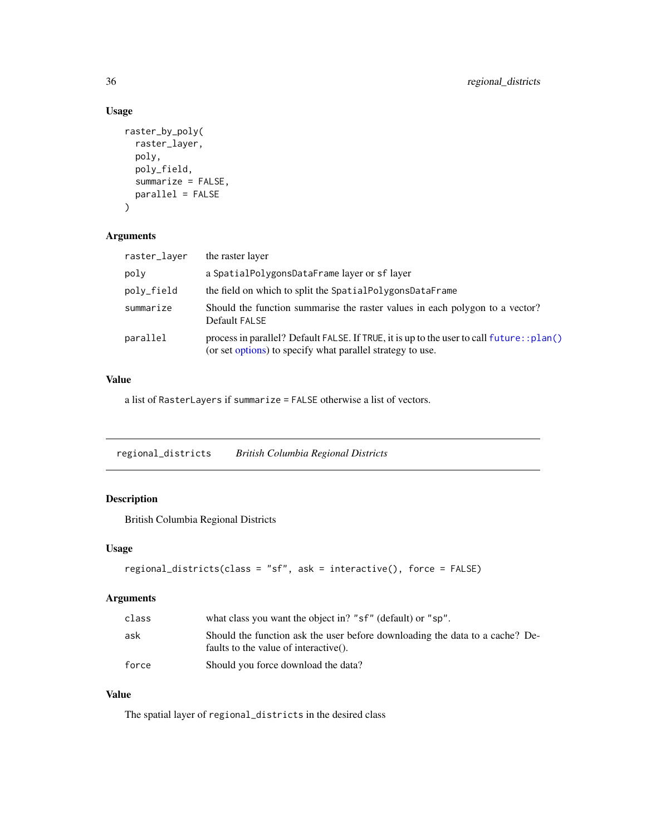### Usage

```
raster_by_poly(
  raster_layer,
 poly,
 poly_field,
 summarize = FALSE,
 parallel = FALSE
)
```
### Arguments

| raster_layer | the raster layer                                                                                                                                         |
|--------------|----------------------------------------------------------------------------------------------------------------------------------------------------------|
| poly         | a SpatialPolygonsDataFrame layer or sf layer                                                                                                             |
| poly_field   | the field on which to split the SpatialPolygonsDataFrame                                                                                                 |
| summarize    | Should the function summarise the raster values in each polygon to a vector?<br>Default FALSE                                                            |
| parallel     | process in parallel? Default FALSE. If TRUE, it is up to the user to call future: : plan()<br>(or set options) to specify what parallel strategy to use. |

### Value

a list of RasterLayers if summarize = FALSE otherwise a list of vectors.

regional\_districts *British Columbia Regional Districts*

### Description

British Columbia Regional Districts

### Usage

```
regional_districts(class = "sf", ask = interactive(), force = FALSE)
```
### Arguments

| class | what class you want the object in? "sf" (default) or "sp".                                                            |
|-------|-----------------------------------------------------------------------------------------------------------------------|
| ask   | Should the function ask the user before downloading the data to a cache? De-<br>faults to the value of interactive(). |
| force | Should you force download the data?                                                                                   |

### Value

The spatial layer of regional\_districts in the desired class

<span id="page-35-0"></span>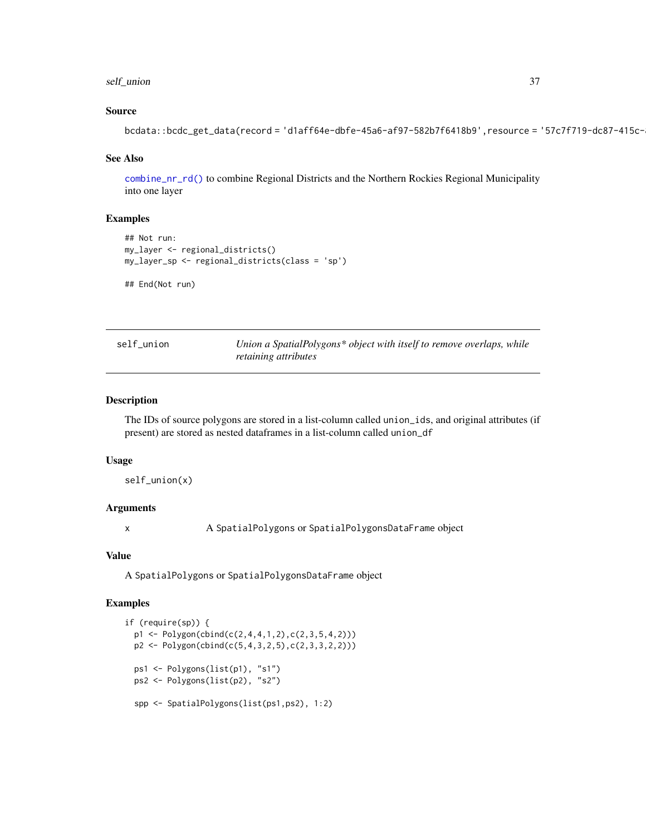### <span id="page-36-0"></span>self\_union 37

### Source

```
bcdata::bcdc_get_data(record = 'd1aff64e-dbfe-45a6-af97-582b7f6418b9',resource = '57c7f719-dc87-415c-
```
#### See Also

[combine\\_nr\\_rd\(\)](#page-17-1) to combine Regional Districts and the Northern Rockies Regional Municipality into one layer

#### Examples

```
## Not run:
my_layer <- regional_districts()
my_layer_sp <- regional_districts(class = 'sp')
## End(Not run)
```

| self_union | Union a SpatialPolygons* object with itself to remove overlaps, while |
|------------|-----------------------------------------------------------------------|
|            | <i>retaining attributes</i>                                           |

#### Description

The IDs of source polygons are stored in a list-column called union\_ids, and original attributes (if present) are stored as nested dataframes in a list-column called union\_df

#### Usage

self\_union(x)

### Arguments

x A SpatialPolygons or SpatialPolygonsDataFrame object

### Value

A SpatialPolygons or SpatialPolygonsDataFrame object

#### Examples

```
if (require(sp)) {
  p1 <- Polygon(cbind(c(2,4,4,1,2),c(2,3,5,4,2)))
  p2 \leftarrow \text{Polygon}(\text{cbind}(c(5,4,3,2,5), c(2,3,3,2,2)))ps1 <- Polygons(list(p1), "s1")
  ps2 <- Polygons(list(p2), "s2")
  spp <- SpatialPolygons(list(ps1,ps2), 1:2)
```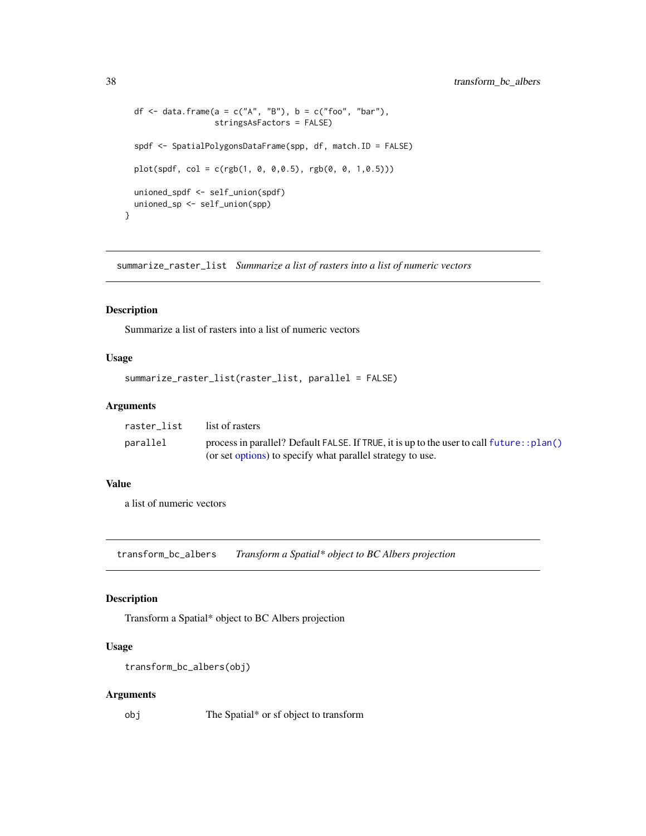```
df \le data.frame(a = c("A", "B"), b = c("foo", "bar"),
                   stringsAsFactors = FALSE)
 spdf <- SpatialPolygonsDataFrame(spp, df, match.ID = FALSE)
 plot(spdf, col = c(rgb(1, 0, 0, 0.5), rgb(0, 0, 1, 0.5)))unioned_spdf <- self_union(spdf)
 unioned_sp <- self_union(spp)
}
```
summarize\_raster\_list *Summarize a list of rasters into a list of numeric vectors*

#### Description

Summarize a list of rasters into a list of numeric vectors

#### Usage

```
summarize_raster_list(raster_list, parallel = FALSE)
```
### Arguments

| raster list | list of rasters                                                                            |
|-------------|--------------------------------------------------------------------------------------------|
| parallel    | process in parallel? Default FALSE. If TRUE, it is up to the user to call future: : plan() |
|             | (or set options) to specify what parallel strategy to use.                                 |

#### Value

a list of numeric vectors

transform\_bc\_albers *Transform a Spatial\* object to BC Albers projection*

### Description

Transform a Spatial\* object to BC Albers projection

#### Usage

```
transform_bc_albers(obj)
```
#### Arguments

obj The Spatial\* or sf object to transform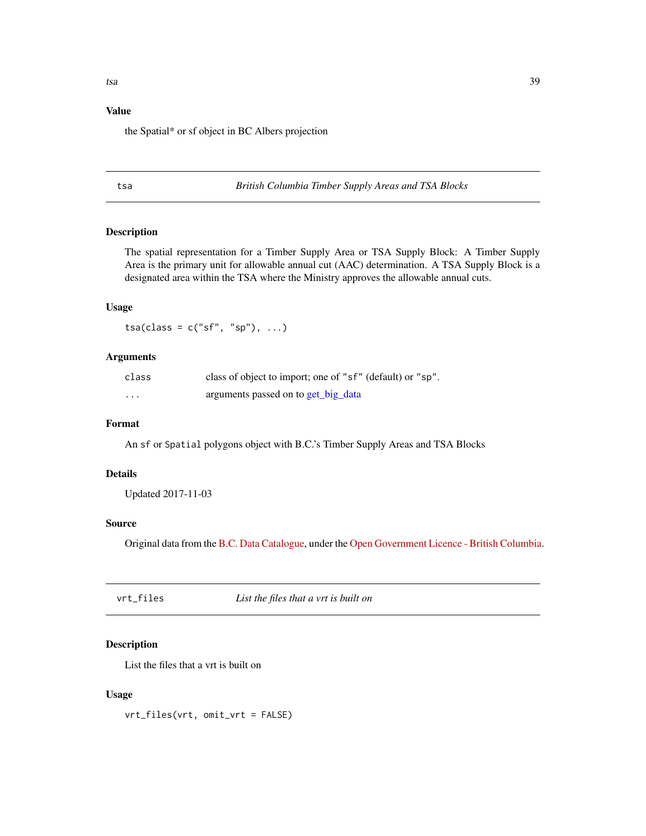### <span id="page-38-0"></span>Value

the Spatial\* or sf object in BC Albers projection

tsa *British Columbia Timber Supply Areas and TSA Blocks*

### Description

The spatial representation for a Timber Supply Area or TSA Supply Block: A Timber Supply Area is the primary unit for allowable annual cut (AAC) determination. A TSA Supply Block is a designated area within the TSA where the Ministry approves the allowable annual cuts.

### Usage

 $tsa(class = c("sf", "sp"), ...)$ 

### Arguments

| class             | class of object to import; one of "sf" (default) or "sp". |
|-------------------|-----------------------------------------------------------|
| $\cdot\cdot\cdot$ | arguments passed on to get_big_data                       |

### Format

An sf or Spatial polygons object with B.C.'s Timber Supply Areas and TSA Blocks

#### Details

Updated 2017-11-03

#### Source

Original data from the [B.C. Data Catalogue,](https://catalogue.data.gov.bc.ca/dataset/8daa29da-d7f4-401c-83ae-d962e3a28980) under the [Open Government Licence - British Columbia.](https://www2.gov.bc.ca/gov/content?id=A519A56BC2BF44E4A008B33FCF527F61)

vrt\_files *List the files that a vrt is built on*

### Description

List the files that a vrt is built on

#### Usage

vrt\_files(vrt, omit\_vrt = FALSE)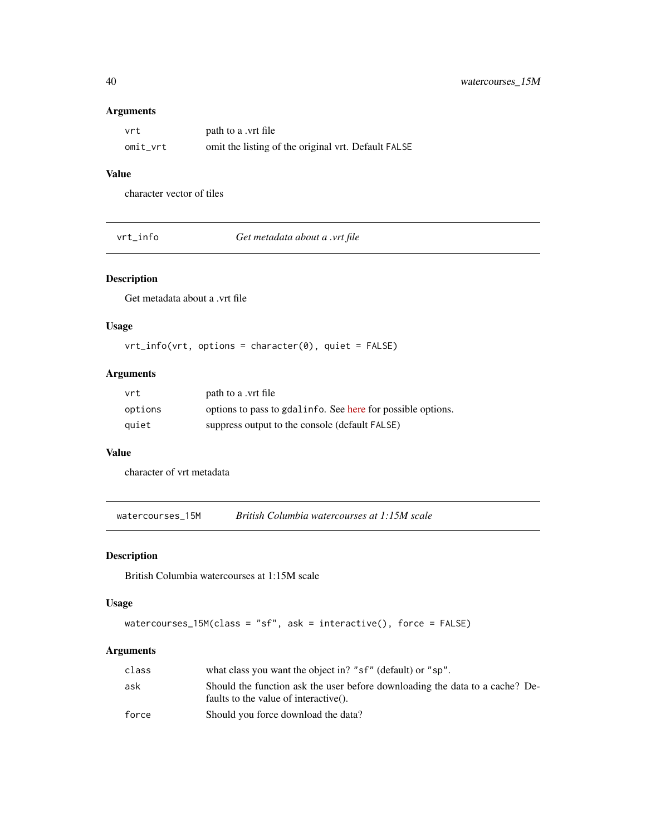### <span id="page-39-0"></span>Arguments

| vrt      | path to a .vrt file                                 |
|----------|-----------------------------------------------------|
| omit vrt | omit the listing of the original vrt. Default FALSE |

### Value

character vector of tiles

vrt\_info *Get metadata about a .vrt file*

### Description

Get metadata about a .vrt file

### Usage

vrt\_info(vrt, options = character(0), quiet = FALSE)

### Arguments

| vrt     | path to a .vrt file                                         |
|---------|-------------------------------------------------------------|
| options | options to pass to gdalinfo. See here for possible options. |
| auiet   | suppress output to the console (default FALSE)              |

### Value

character of vrt metadata

watercourses\_15M *British Columbia watercourses at 1:15M scale*

### Description

British Columbia watercourses at 1:15M scale

### Usage

```
watercourses_15M(class = "sf", ask = interactive(), force = FALSE)
```
### Arguments

| class | what class you want the object in? "sf" (default) or "sp".                                                            |
|-------|-----------------------------------------------------------------------------------------------------------------------|
| ask   | Should the function ask the user before downloading the data to a cache? De-<br>faults to the value of interactive(). |
| force | Should you force download the data?                                                                                   |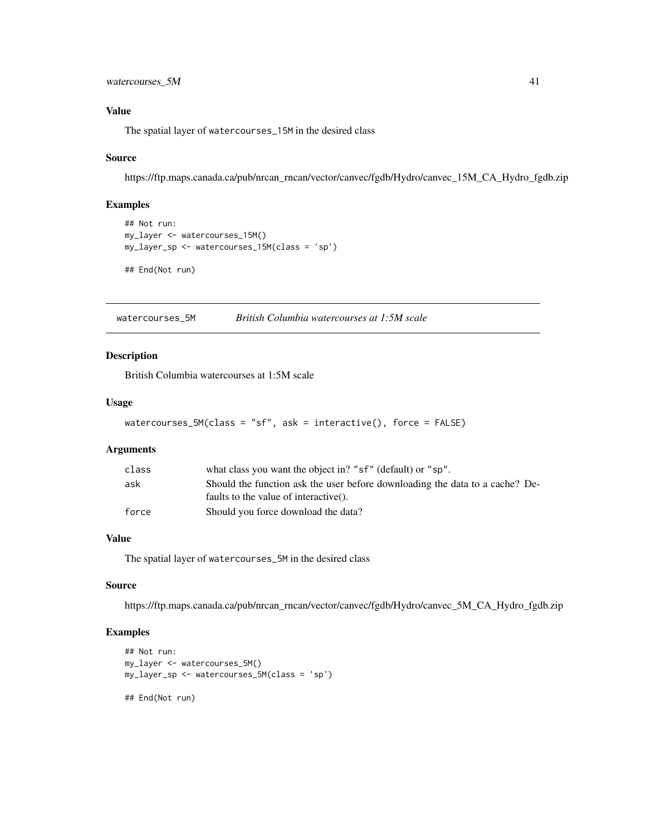<span id="page-40-0"></span>watercourses\_5M 41

### Value

The spatial layer of watercourses\_15M in the desired class

#### Source

https://ftp.maps.canada.ca/pub/nrcan\_rncan/vector/canvec/fgdb/Hydro/canvec\_15M\_CA\_Hydro\_fgdb.zip

### Examples

```
## Not run:
my_layer <- watercourses_15M()
my_layer_sp <- watercourses_15M(class = 'sp')
## End(Not run)
```
watercourses\_5M *British Columbia watercourses at 1:5M scale*

#### Description

British Columbia watercourses at 1:5M scale

#### Usage

```
watercourses_5M(class = "sf", ask = interactive(), force = FALSE)
```
### Arguments

| class | what class you want the object in? "sf" (default) or "sp".                   |
|-------|------------------------------------------------------------------------------|
| ask   | Should the function ask the user before downloading the data to a cache? De- |
|       | faults to the value of interactive().                                        |
| force | Should you force download the data?                                          |
|       |                                                                              |

### Value

The spatial layer of watercourses\_5M in the desired class

### Source

https://ftp.maps.canada.ca/pub/nrcan\_rncan/vector/canvec/fgdb/Hydro/canvec\_5M\_CA\_Hydro\_fgdb.zip

### Examples

```
## Not run:
my_layer <- watercourses_5M()
my_layer_sp <- watercourses_5M(class = 'sp')
```
## End(Not run)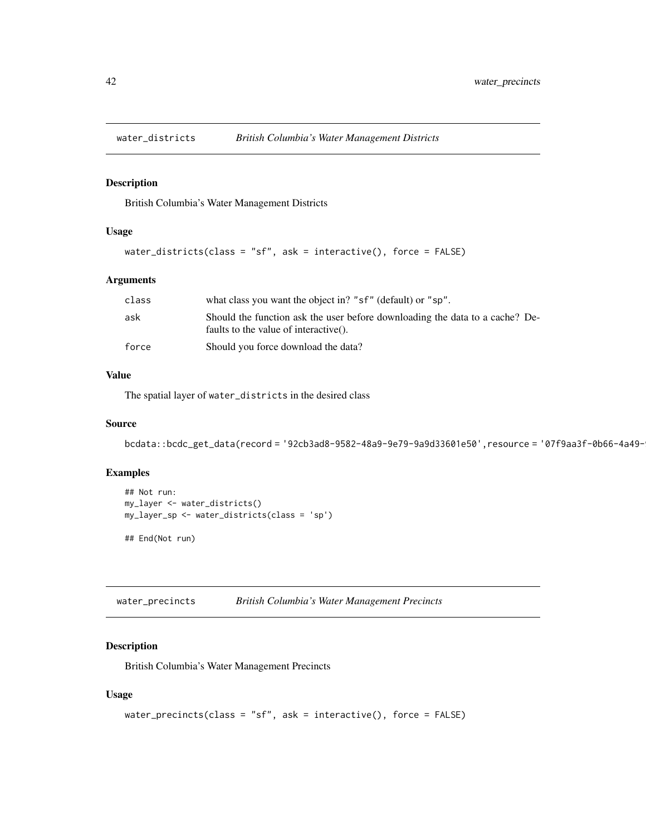<span id="page-41-0"></span>

British Columbia's Water Management Districts

### Usage

```
water_districts(class = "sf", ask = interactive(), force = FALSE)
```
### Arguments

| class | what class you want the object in? "sf" (default) or "sp".                                                            |
|-------|-----------------------------------------------------------------------------------------------------------------------|
| ask   | Should the function ask the user before downloading the data to a cache? De-<br>faults to the value of interactive(). |
| force | Should you force download the data?                                                                                   |

#### Value

The spatial layer of water\_districts in the desired class

### Source

```
bcdata::bcdc_get_data(record = '92cb3ad8-9582-48a9-9e79-9a9d33601e50',resource = '07f9aa3f-0b66-4a49-
```
#### Examples

## End(Not run)

```
## Not run:
my_layer <- water_districts()
my_layer_sp <- water_districts(class = 'sp')
```
water\_precincts *British Columbia's Water Management Precincts*

## Description

British Columbia's Water Management Precincts

```
water_precincts(class = "sf", ask = interactive(), force = FALSE)
```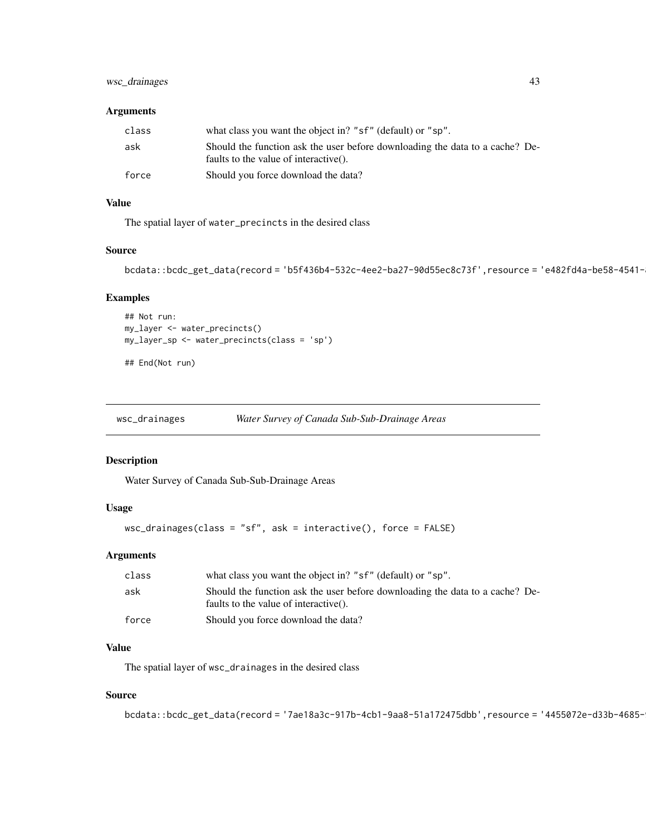### <span id="page-42-0"></span>wsc\_drainages 43

### Arguments

| class | what class you want the object in? "sf" (default) or "sp".                                                            |
|-------|-----------------------------------------------------------------------------------------------------------------------|
| ask   | Should the function ask the user before downloading the data to a cache? De-<br>faults to the value of interactive(). |
| force | Should you force download the data?                                                                                   |

### Value

The spatial layer of water\_precincts in the desired class

### Source

```
bcdata::bcdc_get_data(record = 'b5f436b4-532c-4ee2-ba27-90d55ec8c73f',resource = 'e482fd4a-be58-4541-
```
### Examples

```
## Not run:
my_layer <- water_precincts()
my_layer_sp <- water_precincts(class = 'sp')
```

```
## End(Not run)
```

| wsc_drainages | Water Survey of Canada Sub-Sub-Drainage Areas |
|---------------|-----------------------------------------------|
|               |                                               |

#### Description

Water Survey of Canada Sub-Sub-Drainage Areas

#### Usage

```
wsc_drainages(class = "sf", ask = interactive(), force = FALSE)
```
### Arguments

| class | what class you want the object in? "sf" (default) or "sp".                                                            |
|-------|-----------------------------------------------------------------------------------------------------------------------|
| ask   | Should the function ask the user before downloading the data to a cache? De-<br>faults to the value of interactive(). |
| force | Should you force download the data?                                                                                   |

### Value

The spatial layer of wsc\_drainages in the desired class

### Source

```
bcdata::bcdc_get_data(record = '7ae18a3c-917b-4cb1-9aa8-51a172475dbb',resource = '4455072e-d33b-4685-
```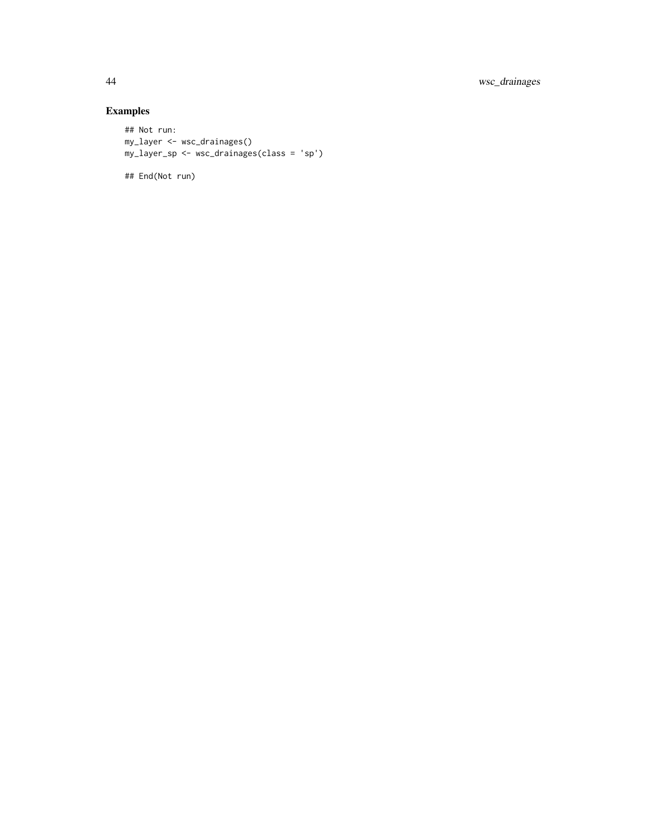44 wsc\_drainages

## Examples

```
## Not run:
my_layer <- wsc_drainages()
my_layer_sp <- wsc_drainages(class = 'sp')
```
## End(Not run)